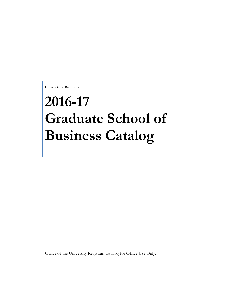University of Richmond

# **2016-17 Graduate School of Business Catalog**

Office of the University Registrar. Catalog for Office Use Only.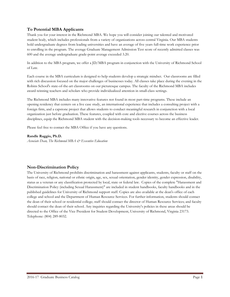# **To Potential MBA Applicants**

Thank you for your interest in the Richmond MBA. We hope you will consider joining our talented and motivated student body, which includes professionals from a variety of organizations across central Virginia. Our MBA students hold undergraduate degrees from leading universities and have an average of five years full-time work experience prior to enrolling in the program. The average Graduate Management Admission Test score of recently admitted classes was 600 and the average undergraduate grade-point average exceeded 3.20.

In addition to the MBA program, we offer a JD/MBA program in conjunction with the University of Richmond School of Law.

Each course in the MBA curriculum is designed to help students develop a strategic mindset. Our classrooms are filled with rich discussion focused on the major challenges of businesses today. All classes take place during the evening in the Robins School's state-of-the-art classrooms on our picturesque campus. The faculty of the Richmond MBA includes award-winning teachers and scholars who provide individualized attention in small-class settings.

The Richmond MBA includes many innovative features not found in most part-time programs. These include an opening residency that centers on a live case study, an international experience that includes a consulting project with a foreign firm, and a capstone project that allows students to conduct meaningful research in conjunction with a local organization just before graduation. These features, coupled with core and elective courses across the business disciplines, equip the Richmond MBA student with the decision-making tools necessary to become an effective leader.

Please feel free to contact the MBA Office if you have any questions.

#### **Randle Raggio, Ph.D.**

*Associate Dean, The Richmond MBA & Executive Education*

# **Non-Discrimination Policy**

The University of Richmond prohibits discrimination and harassment against applicants, students, faculty or staff on the basis of race, religion, national or ethnic origin, age, sex, sexual orientation, gender identity, gender expression, disability, status as a veteran or any classification protected by local, state or federal law. Copies of the complete "Harassment and Discrimination Policy (including Sexual Harassment)" are included in student handbooks, faculty handbooks and in the published guidelines for University of Richmond support staff. Copies are also available at the dean's office of each college and school and the Department of Human Resource Services. For further information, students should contact the dean of their school or residential college; staff should contact the director of Human Resource Services; and faculty should contact the dean of their school. Any inquiries regarding the University's policies in these areas should be directed to the Office of the Vice President for Student Development, University of Richmond, Virginia 23173. Telephone: (804) 289-8032.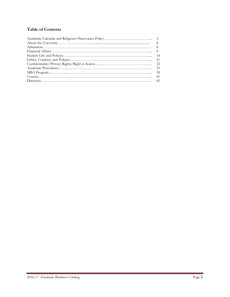# **Table of Contents**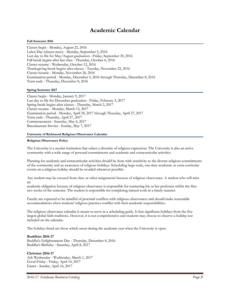# **Academic Calendar**

#### **Fall Semester 2016**

Classes begin - Monday, August 22, 2016 Labor Day (classes meet) - Monday, September 5, 2016 Last day to file for May/August graduation - Friday, September 30, 2016 Fall break begins after last class - Thursday, October 6, 2016 Classes resume - Wednesday, October 12, 2016 Thanksgiving break begins after classes - Tuesday, November 22, 2016 Classes resume - Monday, November 28, 2016 Examination period - Monday, December 5, 2016 through Thursday, December 8, 2016 Term ends - Thursday, December 8, 2016

#### **Spring Semester 2017**

Classes begin - Monday, January 9, 2017 Last day to file for December graduation - Friday, February 3, 2017 Spring break begins after classes - Thursday, March 2, 2017 Classes resume - Monday, March 13, 2017 Examination period - Monday, April 24, 2017 through Thursday, April 27, 2017 Term ends - Thursday, April 27, 2017 Commencement - Saturday, May 6, 2017 Baccalaureate Service - Sunday, May 7, 2017

#### **University of Richmond Religious Observance Calendar**

#### **Religious Observance Policy**

The University is a secular institution that values a diversity of religious expression. The University is also an active community with a wide range of personal commitments and academic and extracurricular activities.

Planning for academic and extracurricular activities should be done with sensitivity to the diverse religious commitments of the community and an awareness of religious holidays. Scheduling large-scale, one-time academic or extra-curricular events on a religious holiday should be avoided whenever possible.

Any student may be excused from class or other assignments because of religious observance. A student who will miss an

academic obligation because of religious observance is responsible for contacting his or her professor within the first two weeks of the semester. The student is responsible for completing missed work in a timely manner.

Faculty are expected to be mindful of potential conflicts with religious observances and should make reasonable accommodations when students' religious practices conflict with their academic responsibilities.

The religious observance calendar is meant to serve as a scheduling guide. It lists significant holidays from the five largest global faith traditions. However, it is not comprehensive and students may choose to observe a holiday not included on the calendar.

The holidays listed are those which occur during the academic year when the University is open.

#### **Buddhist 2016-17**

Buddha's Enlightenment Day - Thursday, December 8, 2016 Buddha's Birthday - Saturday, April 8, 2017

#### **Christian 2016-17**

Ash Wednesday - Wednesday, March 1, 2017 Good Friday - Friday, April 14, 2017 Easter - Sunday, April 16, 2017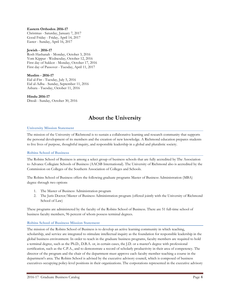#### **Eastern Orthodox 2016-17**

Christmas - Saturday, January 7, 2017 Good Friday - Friday, April 14, 2017 Easter - Sunday, April 16, 2017

#### **Jewish - 2016-17**

Rosh Hashanah - Monday, October 3, 2016 Yom Kippur - Wednesday, October 12, 2016 First day of Sukkot - Monday, October 17, 2016 First day of Passover - Tuesday, April 11, 2017

#### **Muslim - 2016-17**

Eid al-Fitr - Tuesday, July 5, 2016 Eid al-Adha - Sunday, September 11, 2016 Ashura - Tuesday, October 11, 2016

**Hindu 2016-17** Diwali - Sunday, October 30, 2016

# **About the University**

#### **University Mission Statement**

The mission of the University of Richmond is to sustain a collaborative learning and research community that supports the personal development of its members and the creation of new knowledge. A Richmond education prepares students to live lives of purpose, thoughtful inquiry, and responsible leadership in a global and pluralistic society.

# **Robins School of Business**

The Robins School of Business is among a select group of business schools that are fully accredited by The Association to Advance Collegiate Schools of Business (AACSB International). The University of Richmond also is accredited by the Commission on Colleges of the Southern Association of Colleges and Schools.

The Robins School of Business offers the following graduate programs Master of Business Administration (MBA) degree through two options

- 1. The Master of Business Administration program
- 2. The Juris Doctor/Master of Business Administration program (offered jointly with the University of Richmond School of Law)

These programs are administered by the faculty of the Robins School of Business. There are 51 full-time school of business faculty members, 96 percent of whom possess terminal degrees.

# **Robins School of Business Mission Statement**

The mission of the Robins School of Business is to develop an active learning community in which teaching, scholarship, and service are integrated to stimulate intellectual inquiry as the foundation for responsible leadership in the global business environment. In order to teach in the graduate business programs, faculty members are required to hold a terminal degree, such as the Ph.D., D.B.A. or, in certain cases, the J.D. or a master's degree with professional certification, such as the C.P.A., and to demonstrate a record of scholarly productivity in their area of competency. The director of the program and the chair of the department must approve each faculty member teaching a course in the department's area. The Robins School is advised by the executive advisory council, which is composed of business executives occupying policy-level positions in their organizations. The corporations represented in the executive advisory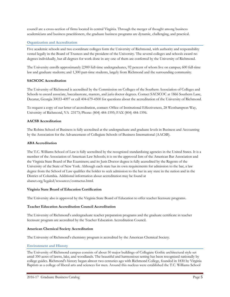council are a cross-section of firms located in central Virginia. Through the merger of thought among business academicians and business practitioners, the graduate business programs are dynamic, challenging, and practical.

# **Organization and Accreditation**

Five academic schools and two coordinate colleges form the University of Richmond, with authority and responsibility vested legally in the Board of Trustees and the president of the University. The several colleges and schools award no degrees individually, but all degrees for work done in any one of them are conferred by the University of Richmond.

The University enrolls approximately 2,900 full-time undergraduates, 92 percent of whom live on campus; 600 full-time law and graduate students; and 1,300 part-time students, largely from Richmond and the surrounding community.

# **SACSCOC Accreditation**

The University of Richmond is accredited by the Commission on Colleges of the Southern Association of Colleges and Schools to award associate, baccalaureate, masters, and juris doctor degrees. Contact SACSCOC at 1866 Southern Lane, Decatur, Georgia 30033-4097 or call 404-679-4500 for questions about the accreditation of the University of Richmond.

To request a copy of our letter of accreditation, contact: Office of Institutional Effectiveness, 28 Westhampton Way, University of Richmond, VA 23173; Phone: (804) 484-1595; FAX (804) 484-1596.

# **AACSB Accreditation**

The Robins School of Business is fully accredited at the undergraduate and graduate levels in Business and Accounting by the Association for the Advancement of Collegiate Schools of Business International (AACSB).

# **ABA Accreditation**

The T.C. Williams School of Law is fully accredited by the recognized standardizing agencies in the United States. It is a member of the Association of American Law Schools; it is on the approved lists of the American Bar Association and the Virginia State Board of Bar Examiners; and its Juris Doctor degree is fully accredited by the Regents of the University of the State of New York. Although each state has its own requirements for admission to the bar, a law degree from the School of Law qualifies the holder to seek admission to the bar in any state in the nation and in the District of Columbia. Additional information about accreditation may be found at abanet.org/legaled/resources/contactus.html.

# **Virginia State Board of Education Certification**

The University also is approved by the Virginia State Board of Education to offer teacher licensure programs.

# **Teacher Education Accreditation Council Accreditation**

The University of Richmond's undergraduate teacher preparation programs and the graduate certificate in teacher licensure program are accredited by the Teacher Education Accreditation Council.

# **American Chemical Society Accreditation**

The University of Richmond's chemistry program is accredited by the American Chemical Society.

# **Environment and History**

The University of Richmond campus consists of about 50 major buildings of Collegiate Gothic architectural style set amid 350 acres of lawns, lake, and woodlands. The beautiful and harmonious setting has been recognized nationally by college guides. Richmond's history began almost two centuries ago with Richmond College, founded in 1830 by Virginia Baptists as a college of liberal arts and sciences for men. Around this nucleus were established the T.C. Williams School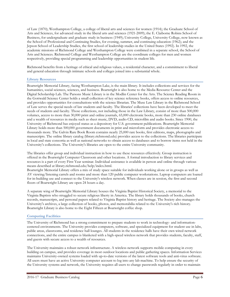of Law (1870); Westhampton College, a college of liberal arts and sciences for women (1914); the Graduate School of Arts and Sciences, for advanced study in the liberal arts and sciences (1921-2009); the E. Claiborne Robins School of Business, for undergraduate and graduate study in business (1949); University College, University College, now known as the School of Professional and Continuing Studies, for evening, summer, and continuing education (1962); and the Jepson School of Leadership Studies, the first school of leadership studies in the United States (1992). In 1992, the academic missions of Richmond College and Westhampton College were combined in a separate school, the School of Arts and Sciences. Richmond College and Westhampton College are the coordinate colleges for men and women respectively, providing special programming and leadership opportunities in student life.

Richmond benefits from a heritage of ethical and religious values, a residential character, and a commitment to liberal and general education through intimate schools and colleges joined into a substantial whole.

#### **Library Resources**

Boatwright Memorial Library, facing Westhampton Lake, is the main library. It includes collections and services for the humanities, social sciences, sciences, and business. Boatwright is also home to the Media Resource Center and the Digital Scholarship Lab. The Parsons Music Library is in the Modlin Center for the Arts. The Science Reading Room in the Gottwald Science Center holds a small collection of key science reference books, offers access to online resources, and provides opportunities for consultations with the science librarian. The Muse Law Library in the Richmond School of Law serves the special needs of law students and faculty. The libraries' collections have been developed to meet the needs of students and faculty. Those collections, not including those in the Law Library, consist of more than 500,000 volumes, access to more than 30,000 print and online journals, 65,000 electronic books, more than 230 online databases and a wealth of resources in media such as sheet music, DVD, audio CD, microfilm and audio books. Since 1900, the University of Richmond has enjoyed status as a depository for U.S. government publications. Boatwright Memorial Library holds more than 500,000 government documents in print and microform and provides electronic access to thousands more. The Galvin Rare Book Room contains nearly 25,000 rare books, first editions, maps, photographs and manuscripts. The online library catalog (library.richmond.edu) provides access to the collections. The libraries participate in local and state consortia as well as national networks to obtain access to databases and to borrow items not held in the University's collections. The University's libraries are open to the entire University community.

The libraries offer group and individual instruction in how to use these resources effectively. Group instruction is offered in the Boatwright Computer Classroom and other locations. A formal introduction to library services and resources is a part of every First Year seminar. Individual assistance is available in person and online through various means described at library.richmond.edu/help/index.html.

Boatwright Memorial Library offers a mix of study space suitable for individuals working alone or in groups as well as AV viewing/listening carrels and rooms and more than 120 public computer workstations. Laptop computers are loaned for in-building use and connect to the University's wireless network. When classes are in session, the first and second floors of Boatwright Library are open 24 hours a day.

A separate wing of Boatwright Memorial Library houses the Virginia Baptist Historical Society, a memorial to the Virginia Baptists who struggled to secure religious liberty in America. The library holds thousands of books, church records, manuscripts, and personal papers related to Virginia Baptist history and heritage. The Society also manages the University's archives, a large collection of books, photos, and memorabilia related to the University's rich history. Boatwright Library is also home to the Eight Fifteen at Boatwright coffee shop.

# **Computing Facilities**

The University of Richmond has a strong commitment to prepare students to work in technology- and informationcentered environments. The University provides computers, software, and specialized equipment for student use in labs, public areas, classrooms, and residence hall lounges. All students in the residence halls have their own wired network connections, and the entire campus is blanketed with a high-speed wireless network that provides students, faculty, staff, and guests with secure access to a wealth of resources.

The University maintains a robust network infrastructure. A wireless network supports mobile computing in every building on campus, and provides coverage in most outdoor locations and public gathering spaces. Information Services maintains University-owned systems loaded with up-to-date versions of the latest software tools and anti-virus software. All users must have an active University computer account to log into any lab machine. To help ensure the security of the University systems and network, the University requires all users to change passwords regularly in order to maintain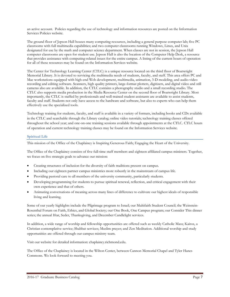an active account. Policies regarding the use of technology and information resources are posted on the Information Services Policies website.

The ground floor of Jepson Hall houses many computing resources, including a general purpose computer lab; five PC classrooms with full multimedia capabilities; and two computer classrooms running Windows, Linux, and Unix designated for use by the math and computer science department. When classes are not in session, the Jepson Hall computer classrooms are open for student use. Jepson Hall is also the location of the Computer Help Desk, a resource that provides assistance with computing-related issues for the entire campus. A listing of the current hours of operation for all of these resources may be found on the Information Services website.

The Center for Technology Learning Center (CTLC) is a unique resource located on the third floor of Boatwright Memorial Library. It is devoted to servicing the multimedia needs of students, faculty, and staff. This area offers PC and Mac workstations equipped with high-end Web development, multimedia, animation, 3-D modeling, and audio-video recording and editing software. Scanners, high quality printers, large-format plotters, digitizers, and digital video and still cameras also are available. In addition, the CTLC contains a photography studio and a small recording studio. The CTLC also supports media production in the Media Resource Center on the second floor of Boatwright Library. Most importantly, the CTLC is staffed by professionals and well-trained student assistants are available to assist students, faculty and staff. Students not only have access to the hardware and software, but also to experts who can help them effectively use the specialized tools.

Technology training for students, faculty, and staff is available in a variety of formats, including books and CDs available in the CTLC and searchable through the Library catalog; online video tutorials; technology training classes offered throughout the school year; and one-on-one training sessions available through appointments at the CTLC. CTLC hours of operation and current technology training classes may be found on the Information Services website.

# **Spiritual Life**

This mission of the Office of the Chaplaincy is Inspiring Generous Faith; Engaging the Heart of the University.

The Office of the Chaplaincy consists of five full-time staff members and eighteen affiliated campus ministers. Together, we focus on five strategic goals to advance our mission:

- Creating structures of inclusion for the diversity of faith traditions present on campus.
- Including our eighteen partner campus ministries more robustly in the mainstream of campus life.
- Providing pastoral care to all members of the university community, particularly students.
- Developing programming for students to pursue spiritual renewal, reflection, and critical engagement with their own experience and that of others.
- Animating conversations of meaning across many lines of difference to cultivate our highest ideals of responsible living and learning.

Some of our yearly highlights include the Pilgrimage program to Israel; our Multifaith Student Council; the Weinstein-Rosenthal Forum on Faith, Ethics, and Global Society; our One Book, One Campus program; our Consider This dinner series; the annual Iftar, Seder, Thanksgiving, and December Candlelight services.

In addition, a wide range of worship and fellowship opportunities are offered such as weekly Catholic Mass; Kairos, a Christian contemplative service; Shabbat services; Muslim prayer; and Zen Meditation. Additional worship and study opportunities are offered through our campus ministry team.

Visit our website for detailed information: chaplaincy.richmond.edu.

The Office of the Chaplaincy is located in the Wilton Center, between Cannon Memorial Chapel and Tyler Hanes Commons. We look forward to meeting you.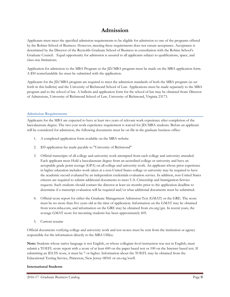# **Admission**

Applicants must meet the specified admission requirements to be eligible for admission to one of the programs offered by the Robins School of Business. However, meeting these requirements does not ensure acceptance. Acceptance is determined by the Director of the Reynolds Graduate School of Business in consultation with the Robins School's Graduate Council. Equal opportunity for admission is assured to all applicants subject to qualifications, space, and class-size limitations.

Application for admission to the MBA Program or the JD/MBA program must be made on the MBA application form. A \$50 nonrefundable fee must be submitted with the application.

Applicants for the JD/MBA program are required to meet the admission standards of both the MBA program (as set forth in this bulletin) and the University of Richmond School of Law. Applications must be made separately to the MBA program and to the school of law. A bulletin and application form for the school of law may be obtained from: Director of Admissions, University of Richmond School of Law, University of Richmond, Virginia 23173.

# **Admission Requirements**

Applicants for the MBA are expected to have at least two years of relevant work experience after completion of the baccalaureate degree. The two-year work experience requirement is waived for JD/MBA students. Before an applicant will be considered for admission, the following documents must be on file in the graduate business office:

- 1. A completed application form available on the MBA website
- 2. \$50 application fee made payable to "University of Richmond"
- 3. Official transcripts of all college and university work attempted from each college and university attended. Each applicant must Hold a baccalaureate degree from an accredited college or university and have an acceptable grade point average (GPA) on all college and university work. An applicant whose prior experience in higher education includes work taken at a non-United States college or university may be required to have the academic record evaluated by an independent credentials evaluation service. In addition, non-United States citizens are required to submit additional documents to meet U.S. Citizenship and Immigration Service requests. Such students should contact the director at least six months prior to the application deadline to determine if a transcript evaluation will be required and/or what additional documents must be submitted.
- 4. Official score report for either the Graduate Management Admission Test (GMAT) or the GRE. The score must be no more than five years old at the time of application. Information on the GMAT may be obtained from www.mba.com, and information on the GRE may be obtained from ets.org/gre. In recent years, the average GMAT score for incoming students has been approximately 605.
- 5. Current resume

Official documents verifying college and university work and test scores must be sent from the institution or agency responsible for the information directly to the MBA Office.

**Note:** Students whose native language is not English, or whose collegiate-level instruction was not in English, must submit a TOEFL score report with a score of at least 600 on the paper based test or 100 on the Internet based test. If submitting an IELTS score, it must be 7 or higher. Information about the TOEFL may be obtained from the Educational Testing Service, Princeton, New Jersey 08541 or ets.org/toefl.

# **International Students**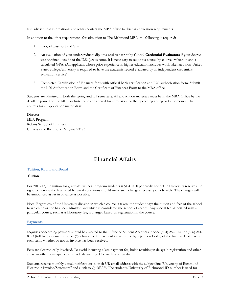It is advised that international applicants contact the MBA office to discuss application requirements

In addition to the other requirements for admission to The Richmond MBA, the following is required:

- 1. Copy of Passport and Visa
- 2. An evaluation of your undergraduate diploma **and** transcript by **Global Credential Evaluators** if your degree was obtained outside of the U.S. (gceus.com). It is necessary to request a course-by-course evaluation and a calculated GPA. (An applicant whose prior experience in higher education includes work taken at a non-United States college/university is required to have the academic record evaluated by an independent credentials evaluation service)
- 3. Completed Certification of Finances form with official bank certification and I-20 authorization form. Submit the I-20 Authorization Form and the Certificate of Finances Form to the MBA office.

Students are admitted in both the spring and fall semesters. All application materials must be in the MBA Office by the deadline posted on the MBA website to be considered for admission for the upcoming spring or fall semester. The address for all application materials is:

**Director** MBA Program Robins School of Business University of Richmond, Virginia 23173

# **Financial Affairs**

# **Tuition, Room and Board**

# **Tuition**

For 2016-17, the tuition for graduate business program students is \$1,410.00 per credit hour. The University reserves the right to increase the fees listed herein if conditions should make such changes necessary or advisable. The changes will be announced as far in advance as possible.

Note: Regardless of the University division in which a course is taken, the student pays the tuition and fees of the school to which he or she has been admitted and which is considered the school of record. Any special fee associated with a particular course, such as a laboratory fee, is charged based on registration in the course.

#### **Payments**

Inquiries concerning payment should be directed to the Office of Student Accounts, phone (804) 289-8147 or (866) 241- 8893 (toll free) or email at bursar@richmond.edu. Payment in full is due by 5 p.m. on Friday of the first week of classes each term, whether or not an invoice has been received.

Fees are electronically invoiced. To avoid incurring a late-payment fee, holds resulting in delays in registration and other areas, or other consequences individuals are urged to pay fees when due.

Students receive monthly e-mail notifications to their UR email address with the subject line "University of Richmond Electronic Invoice/Statement" and a link to QuikPAY. The student's University of Richmond ID number is used for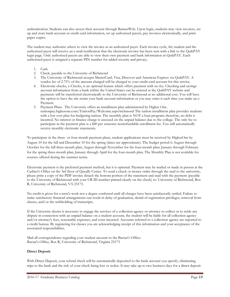authentication. Students can also access their account through BannerWeb. Upon login, students may view invoices, set up and store bank account or credit card information, set up authorized payers, pay invoices electronically, and print paper copies.

The student may authorize others to view the invoice as an authorized payer. Each invoice cycle, the student and the authorized payer will receive an e-mail notification that the electronic invoice has been sent with a link to the QuikPAY login page. Only authorized payers are able to view their own payment and bank information in QuikPAY. Each authorized payer is assigned a separate PIN number for added security and privacy.

- 1. Cash
- 2. Check, payable to the University of Richmond
- 3. The University of Richmond accepts MasterCard, Visa, Discover and American Express via QuikPAY. A vendor fee of 2.75% of the amount charged will be charged to your credit card account for this service.
- 4. Electronic checks, e-Checks, is an optional feature which offers payment with no fee. Checking and savings account information from a bank within the United States can be entered at the QuikPAY website and payments will be transferred electronically to the University of Richmond at no additional cost. You will have the option to have the site retain your bank account information or you may enter it each time you make an e-Payment.
- 5. Payment Plans. The University offers an installment plan administered by Higher One. [tuitionpay.higherone.com/TuitionPay/Welcome.aspx?richmond](https://tuitionpay.higherone.com/TuitionPay/Welcome.aspx?richmond) The tuition installment plan provides students with a low cost plan for budgeting tuition. The monthly plan is NOT a loan program; therefore, no debt is incurred. No interest or finance charge is assessed on the unpaid balance due to the college. The only fee to participate in the payment plan is a \$40 per semester nonrefundable enrollment fee. You will automatically receive monthly electronic statements.

To participate in the three- or four-month payment plans, student applications must be received by HigherOne by August 10 for the fall and December 10 for the spring (dates are approximate). The budget period is August through October for the fall three-month plan; August through November for the four-month plan; January through February for the spring three-month plan; January through April for the four-month plan. The Monthly Plan is not available for courses offered during the summer terms.

Electronic payment is the preferred payment method, but it is optional. Payment may be mailed or made in person at the Cashier's Office on the 3rd floor of Queally Center. To send a check or money order through the mail to the university, please print a copy of the PDF invoice detach the bottom portion of the statement and mail with the payment (payable to the University of Richmond with your UR ID number printed clearly on the check) to: University of Richmond, Box R, University of Richmond, VA 23173.

No credit is given for a term's work nor a degree conferred until all charges have been satisfactorily settled. Failure to make satisfactory financial arrangements can result in delay of graduation, denial of registration privileges, removal from classes, and/or the withholding of transcripts.

If the University deems it necessary to engage the services of a collection agency or attorney to collect or to settle any dispute in connection with an unpaid balance on a student account, the student will be liable for all collection agency and/or attorney's fees, reasonable expenses, and costs incurred. Accounts referred to a collection agency are reported to a credit bureau. By registering for classes you are acknowledging receipt of this information and your acceptance of the associated responsibilities.

Mail all correspondence regarding your student account to the Bursar's Office: Bursar's Office, Box R, University of Richmond, Virginia 23173

# **Direct Deposit**

With Direct Deposit, your refund check will be automatically deposited to the bank account you specify, eliminating trips to the bank and the risk of your check being lost or stolen. It may take up to two business days for a direct deposit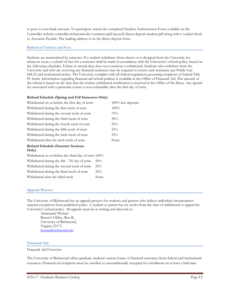to post to your bank account. To participate, return the completed Student Authorization Form available on the Controller website controller.richmond.edu/common/pdf/payroll/direct-deposit-student.pdf along with a voided check to Accounts Payable. The mailing address is on the direct deposit form.

# **Refund of Tuition and Fees**

Students are matriculated by semester. If a student withdraws from classes or is dropped from the University for whatever cause, a refund of fees for a semester shall be made in accordance with the University's refund policy, based on the following schedules. Failure to attend class does not constitute a withdrawal. Students who withdraw from the University and who are receiving any financial assistance may be required to return such assistance per Public Law 668.22 and institutional policy. The University complies with all federal regulations governing recipients of federal Title IV funds. Information regarding financial aid refund policies is available in the Office of Financial Aid. The amount of the refund is based on the date that the written withdrawal notification is received in the Office of the Dean. Any special fee associated with a particular course is non-refundable after the first day of term.

# **Refund Schedule (Spring and Fall Semesters Only)**

| Withdrawal on or before the first day of term | $100\%$ less deposits |  |
|-----------------------------------------------|-----------------------|--|
| Withdrawal during the first week of term      | $100\%$               |  |
| Withdrawal during the second week of term     | 70%                   |  |
| Withdrawal during the third week of term      | 50%                   |  |
| Withdrawal during the fourth week of term     | 25%                   |  |
| Withdrawal during the fifth week of term      | 25%                   |  |
| Withdrawal during the sixth week of term      | 25%                   |  |
| Withdrawal after the sixth week of term       | None                  |  |
| <b>DC</b> 101 11 10                           |                       |  |

#### **Refund Schedule (Summer Sessions Only)**

Withdrawal on or before the third day of term  $100\%$ Withdrawal during the 4th - 7th day of term 50% Withdrawal during the second week of term 25% Withdrawal during the third week of term  $25\%$ Withdrawal after the third week None

# **Appeals Process**

The University of Richmond has an appeals process for students and parents who believe individual circumstances warrant exceptions from published policy. A student or parent has six weeks from the time of withdrawal to appeal the University's refund policy. All appeals must be in writing and directed to:

Annemarie Weitzel Bursar's Office, Box R, University of Richmond, Virginia 23173. [bursar@richmond.edu](mailto:bursar@richmond.edu)

# **Financial Aid**

#### Financial Aid Overview

The University of Richmond offers graduate students various forms of financial assistance from federal and institutional resources. Financial aid recipients must be enrolled or unconditionally accepted for enrollment on at least a half-time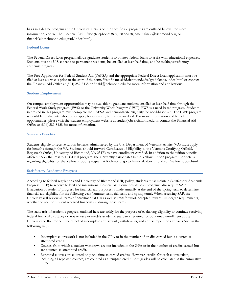basis in a degree program at the University. Details on the specific aid programs are outlined below. For more information, contact the Financial Aid Office (telephone: (804) 289-8438, email: [finaid@richmond.edu,](mailto:finaid@richmond.edu) or [financialaid.richmond.edu/grad/index.html\)](http://financialaid.richmond.edu/grad/index.html).

# **Federal Loans**

The Federal Direct Loan program allows graduate students to borrow federal loans to assist with educational expenses. Students must be U.S. citizens or permanent residents, be enrolled at least half-time, and be making satisfactory academic progress.

The Free Application for Federal Student Aid (FAFSA) and the appropriate Federal Direct Loan application must be filed at least six weeks prior to the start of the term. Visit financialaid.richmond.edu/grad/loans/index.html or contact the Financial Aid Office at (804) 289-8438 or finaid@richmond.edu for more information and applications.

#### **Student Employment**

On-campus employment opportunities may be available to graduate students enrolled at least half-time through the Federal Work-Study program (FWS) or the University Work Program (UWP). FWS is a need-based program. Students interested in this program must complete the FAFSA and demonstrate eligibility for need-based aid. The UWP program is available to students who do not apply for or qualify for need-based aid. For more information and for job opportunities, please visit the student employment website at studentjobs.richmond.edu or contact the Financial Aid Office at (804) 289-8438 for more information.

#### **Veterans Benefits**

Students eligible to receive tuition benefits administered by the U.S. Department of Veterans Affairs (VA) must apply for benefits through the VA. Students should forward Certificates of Eligibility to the Veterans Certifying Official, Registrar's Office, University of Richmond, VA 23173 to have enrollment certified. In addition to the tuition benefits offered under the Post 9/11 GI Bill program, the University participates in the Yellow Ribbon program. For details regarding eligibility for the Yellow Ribbon program at Richmond, go to financialaid.richmond.edu/yellowribbon.html.

#### **Satisfactory Academic Progress**

According to federal regulations and University of Richmond (UR) policy, students must maintain Satisfactory Academic Progress (SAP) to receive federal and institutional financial aid. Some private loan programs also require SAP. Evaluation of students' progress for financial aid purposes is made annually at the end of the spring term to determine financial aid eligibility for the following year (summer term, fall term, and spring term). When assessing SAP, the University will review all terms of enrollment at UR as well as transfer work accepted toward UR degree requirements, whether or not the student received financial aid during those terms.

The standards of academic progress outlined here are solely for the purpose of evaluating eligibility to continue receiving federal financial aid. They do not replace or modify academic standards required for continued enrollment at the University of Richmond. The effect of incomplete coursework, withdrawals, and course repetitions impacts SAP in the following ways:

- Incomplete coursework is not included in the GPA or in the number of credits earned but is counted as attempted credit.
- Courses from which a student withdraws are not included in the GPA or in the number of credits earned but are counted as attempted credit.
- Repeated courses are counted only one time as earned credits. However, credits for each course taken, including all repeated courses, are counted as attempted credit. Both grades will be calculated in the cumulative GPA.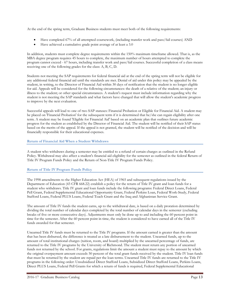At the end of the spring term, Graduate Business students must meet both of the following requirements:

- Have completed 67% of all attempted coursework, (including transfer work and pass/fail courses) AND
- Have achieved a cumulative grade point average of at least a 3.0

In addition, students must complete degree requirements within the 150% maximum timeframe allowed. That is, as the MBA degree program requires 45 hours to complete, the maximum number of hours attempted to complete the program cannot exceed - 67 hours, including transfer work and pass/fail courses. Successful completion of a class means receiving one of the following grades for the class: A, B, C, D.

Students not meeting the SAP requirements for federal financial aid at the end of the spring term will not be eligible for any additional federal financial aid until the standards are met. Denial of aid under this policy may be appealed by the student, in writing, to the Director of Financial Aid within 30 days of notification that the student is no longer eligible for aid. Appeals will be considered for the following circumstances: the death of a relative of the student; an injury or illness to the student; or other special circumstances. A student's request must include information regarding why the student is not meeting the SAP standards and what factors have changed that will allow the student's academic progress to improve by the next evaluation.

Successful appeals will lead to one of two SAP statuses: Financial Probation or Eligible for Financial Aid. A student may be placed on 'Financial Probation' for the subsequent term if it is determined that he/she can regain eligibility after one term. A student may be found 'Eligible for Financial Aid' based on an academic plan that outlines future academic progress for the student as established by the Director of Financial Aid. The student will be notified of their SAP status based on the merits of the appeal. If the appeal is not granted, the student will be notified of the decision and will be financially responsible for their educational expenses.

# **Return of Financial Aid When a Student Withdraws**

A student who withdraws during a semester may be entitled to a refund of certain charges as outlined in the Refund Policy. Withdrawal may also affect a student's financial aid eligibility for the semester as outlined in the federal Return of Title IV Program Funds Policy and the Return of Non-Title IV Program Funds Policy.

# **Return of Title IV Program Funds Policy**

The 1998 amendments to the Higher Education Act (HEA) of 1965 and subsequent regulations issued by the Department of Education (43 CFR 668.22) establish a policy for the return of Title IV grant and loan funds for a student who withdraws. Title IV grant and loan funds include the following programs: Federal Direct Loans, Federal Pell Grant, Federal Supplemental Educational Opportunity Grant, Federal Perkins Loan, Federal Work-Study, Federal Stafford Loans, Federal PLUS Loans, Federal Teach Grant and the Iraq and Afghanistan Service Grant.

The amount of Title IV funds the student earns, up to the withdrawal date, is based on a daily proration determined by dividing the total number of calendar days completed by the total number of calendar days in the semester (excluding breaks of five or more consecutive days). Adjustments must only be done up to and including the 60 percent point in time for the semester. After the 60 percent point in time, the student is considered to have earned all of the Title IV funds awarded for that semester.

Unearned Title IV funds must be returned to the Title IV programs. If the amount earned is greater than the amount that has been disbursed, the difference is treated as a late disbursement to the student. Unearned funds, up to the amount of total institutional charges (tuition, room, and board) multiplied by the unearned percentage of funds, are returned to the Title IV programs by the University of Richmond. The student must return any portion of unearned funds not returned by the school. For grants, regulations limit the amount a student must repay to the amount by which the original overpayment amount exceeds 50 percent of the total grant funds received by the student. Title IV loan funds that must be returned by the student are repaid per the loan terms. Unearned Title IV funds are returned to the Title IV programs in the following order: Unsubsidized Direct Stafford Loans, Subsidized Direct Stafford Loans, Perkins Loans, Direct PLUS Loans, Federal Pell Grants for which a return of funds is required, Federal Supplemental Educational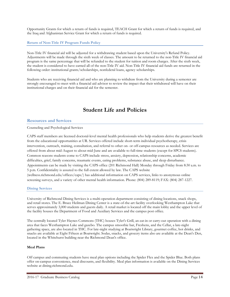Opportunity Grants for which a return of funds is required, TEACH Grant for which a return of funds is required, and the Iraq and Afghanistan Service Grant for which a return of funds is required.

# **Return of Non-Title IV Program Funds Policy**

Non-Title IV financial aid will be adjusted for a withdrawing student based upon the University's Refund Policy. Adjustments will be made through the sixth week of classes. The amount to be returned to the non-Title IV financial aid program is the same percentage that will be refunded to the student for tuition and room charges. After the sixth week, the student is considered to have earned all of the non-Title IV aid. Non-Title IV financial aid funds are returned in the following order: institutional grants/scholarships, nonfederal loans, agency scholarships.

Students who are receiving financial aid and who are planning to withdraw from the University during a semester are strongly encouraged to meet with a financial aid advisor to review the impact that their withdrawal will have on their institutional charges and on their financial aid for the semester.

# **Student Life and Policies**

# **Resources and Services**

Counseling and Psychological Services

CAPS staff members are licensed doctoral-level mental health professionals who help students derive the greatest benefit from the educational opportunities at UR. Services offered include short-term individual psychotherapy, crisis intervention, outreach, training, consultation, and referral to other on- or off-campus resources as needed. Services are offered from about mid-August to about mid-June and are available to full-time students (except for SPCS students). Common reasons students come to CAPS include stress, anxiety, depression, relationship concerns, academic difficulties, grief, family concerns, traumatic events, eating problems, substance abuse, and sleep disturbance. Appointments can be made by visiting the CAPS office (201 Richmond Hall) Monday through Friday from 8:30 a.m. to 5 p.m. Confidentiality is assured to the full extent allowed by law. The CAPS website (wellness.richmond.edu/offices/caps/) has additional information on CAPS services, links to anonymous online screening surveys, and a variety of other mental health information. Phone: (804) 289-8119; FAX: (804) 287-1227.

# **Dining Services**

University of Richmond Dining Services is a multi-operation department consisting of dining locations, snack shops, and retail stores. The E. Bruce Heilman Dining Center is a state-of-the-art facility overlooking Westhampton Lake that serves approximately 3,000 students and guests daily. A retail market is located off the main lobby and the upper level of the facility houses the Department of Food and Auxiliary Services and the campus post office.

The centrally located Tyler Haynes Commons (THC) houses Tyler's Grill, an eat-in or carry-out operation with a dining area that faces Westhampton Lake and gazebo. The campus smoothie bar, Freshens, and the Cellar, a late-night gathering space, are also located in THC. For late-night studying at Boatwright Library, gourmet coffee, hot drinks, and snacks are available at Eight Fifteen at Boatwright. Sodas, snacks, and grocery items also are available at the Dean's Den, located in the Whitehurst building near the Richmond Dean's office.

# **Meal Plans**

Off campus and commuting students have meal plan options including the Spider Flex and the Spider Blue. Both plans offer on-campus convenience, meal discounts, and flexibility. Meal plan information is available on the Dining Services website at dining.richmond.edu.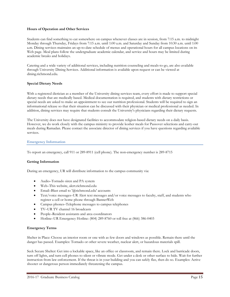#### **Hours of Operation and Other Services**

Students can find something to eat somewhere on campus whenever classes are in session, from 7:15 a.m. to midnight Monday through Thursday, Fridays from 7:15 a.m. until 1:00 a.m. and Saturday and Sunday from 10:30 a.m. until 1:00 a.m. Dining services maintains an up-to-date schedule of menus and operational hours for all campus locations on its Web page. Meal plans follow the undergraduate academic calendar, and service and hours may be limited during academic breaks and holidays.

Catering and a wide variety of additional services, including nutrition counseling and meals-to-go, are also available through University Dining Services. Additional information is available upon request or can be viewed at dining.richmond.edu.

#### **Special Dietary Needs**

With a registered dietician as a member of the University dining services team, every effort is made to support special dietary needs that are medically based. Medical documentation is required, and students with dietary restrictions or special needs are asked to make an appointment to see our nutrition professional. Students will be required to sign an informational release so that their situation can be discussed with their physician or medical professional as needed. In addition, dining services may require that students consult the University's physicians regarding their dietary requests.

The University does not have designated facilities to accommodate religion-based dietary needs on a daily basis. However, we do work closely with the campus ministry to provide kosher meals for Passover selections and carry-out meals during Ramadan. Please contact the associate director of dining services if you have questions regarding available services.

#### **Emergency Information**

To report an emergency, call 911 or 289-8911 (cell phone). The non-emergency number is 289-8715

#### **Getting Information**

During an emergency, UR will distribute information to the campus community via:

- Audio–Tornado siren and PA system
- Web–This website, alert.richmond.edu
- Email–Blast email to '@richmond.edu' accounts
- Text/voice messages–UR Alert text messages and/or voice messages to faculty, staff, and students who register a cell or home phone through BannerWeb
- Campus phones–Telephone messages to campus telephones
- TV–UR TV channel 16 broadcasts
- People–Resident assistants and area coordinators
- Hotline–UR Emergency Hotline: (804) 289-8760 or toll free at (866) 386-0403

#### **Emergency Terms**

Shelter in Place: Choose an interior room or one with as few doors and windows as possible. Remain there until the danger has passed. Examples: Tornado or other severe weather, nuclear alert, or hazardous materials spill.

Seek Secure Shelter: Get into a lockable space, like an office or classroom, and remain there. Lock and barricade doors, turn off lights, and turn cell phones to silent or vibrate mode. Get under a desk or other surface to hide. Wait for further instruction from law enforcement. If the threat is in your building and you can safely flee, then do so. Examples: Active shooter or dangerous person immediately threatening the campus.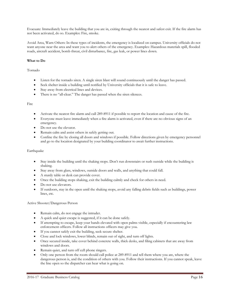Evacuate: Immediately leave the building that you are in, exiting through the nearest and safest exit. If the fire alarm has not been activated, do so. Examples: Fire, smoke.

Avoid Area, Warn Others: In these types of incidents, the emergency is localized on campus. University officials do not want anyone near the area and want you to alert others of the emergency. Examples: Hazardous materials spill, flooded roads, aircraft accident, bomb threat, civil disturbance, fire, gas leak, or power lines down.

# **What to Do**

#### Tornado

- Listen for the tornado siren. A single siren blast will sound continuously until the danger has passed.
- Seek shelter inside a building until notified by University officials that it is safe to leave.
- Stay away from electrical lines and devices.
- There is no "all-clear." The danger has passed when the siren silences.

#### Fire

- Activate the nearest fire alarm and call 289-8911 if possible to report the location and cause of the fire.
- Everyone must leave immediately when a fire alarm is activated, even if there are no obvious signs of an emergency.
- Do not use the elevator.
- Remain calm and assist others in safely getting out.
- Confine the fire by closing all doors and windows if possible. Follow directions given by emergency personnel and go to the location designated by your building coordinator to await further instructions.

# Earthquake

- Stay inside the building until the shaking stops. Don't run downstairs or rush outside while the building is shaking.
- Stay away from glass, windows, outside doors and walls, and anything that could fall.
- A sturdy table or desk can provide cover.
- Once the building stops shaking, exit the building calmly and check for others in need.
- Do not use elevators.
- If outdoors, stay in the open until the shaking stops, avoid any falling debris fields such as buildings, power lines, etc.

Active Shooter/Dangerous Person

- Remain calm, do not engage the intruder.
- A quick and quiet escape is suggested, if it can be done safely.
- If attempting to escape, keep your hands elevated with open palms visible, especially if encountering law enforcement officers. Follow all instructions officers may give you.
- If you cannot safely exit the building, seek secure shelter.
- Close and lock windows, lower blinds, remain out of sight, and turn off lights.
- Once secured inside, take cover behind concrete walls, thick desks, and filing cabinets that are away from windows and doors.
- Remain quiet, and turn off cell phone ringers.
- Only one person from the room should call police at 289-8911 and tell them where you are, where the dangerous person is, and the condition of others with you. Follow their instructions. If you cannot speak, leave the line open so the dispatcher can hear what is going on.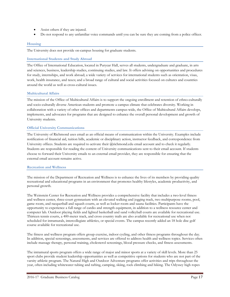- Assist others if they are injured.
- Do not respond to any unfamiliar voice commands until you can be sure they are coming from a police officer.

# **Housing**

The University does not provide on-campus housing for graduate students.

# **International Students and Study Abroad**

The Office of International Education, located in Puryear Hall, serves all students, undergraduate and graduate, in arts and sciences, business, leadership studies, continuing studies, and law. It offers advising on opportunities and procedures for study, internships, and work abroad; a wide variety of services for international students such as orientation, visas, work, health insurance, and taxes; and a broad range of cultural and social activities focused on cultures and countries around the world as well as cross-cultural issues.

# **Multicultural Affairs**

The mission of the Office of Multicultural Affairs is to support the ongoing enrollment and retention of ethno-culturally and socio-culturally diverse American students and promote a campus climate that celebrates diversity. Working in collaboration with a variety of other offices and departments campus-wide, the Office of Multicultural Affairs develops, implements, and advocates for programs that are designed to enhance the overall personal development and growth of University students.

# **Official University Communications**

The University of Richmond uses email as an official means of communication within the University. Examples include notification of financial aid, tuition bills, academic or disciplinary action, instructor feedback, and correspondence from University offices. Students are required to activate their @richmond.edu email account and to check it regularly. Students are responsible for reading the content of University communications sent to their email account. If students choose to forward their University emails to an external email provider, they are responsible for ensuring that the external email account remains active.

# **Recreation and Wellness**

The mission of the Department of Recreation and Wellness is to enhance the lives of its members by providing quality recreational and educational programs in an environment that promotes healthy lifestyles, academic productivity, and personal growth.

The Weinstein Center for Recreation and Wellness provides a comprehensive facility that includes a two-level fitness and wellness center, three-court gymnasium with an elevated walking and jogging track, two multipurpose rooms, pool, game room, and racquetball and squash courts, as well as locker room and sauna facilities. Participants have the opportunity to experience a full range of cardio and strength equipment, in addition to a wellness resource center and computer lab. Outdoor playing fields and lighted basketball and sand volleyball courts are available for recreational use. Thirteen tennis courts, a 400-meter track, and cross country trails are also available for recreational use when not scheduled for intramurals, intercollegiate athletics, or special events. The campus recently added an 18 hole disc golf course available for recreational use.

The fitness and wellness program offers group exercise, indoor cycling, and other fitness programs throughout the day. In addition, special screenings, assessments, and services are offered to address health and wellness topics. Services often include massage therapy, personal training, cholesterol screenings, blood pressure checks, and fitness assessments.

The intramural sports program offers a wide range of major and minor sports at a variety of skill levels. More than 25 sport clubs provide student leadership opportunities as well as competitive options for students who are not part of the varsity athletic program. The Natural High and Outdoor Adventure programs offer activities and trips throughout the year, often including whitewater tubing and rafting, camping, skiing, rock climbing and hiking. The Odyssey high ropes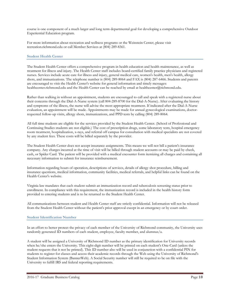course is one component of a much larger and long term departmental goal for developing a comprehensive Outdoor Experiential Education program.

For more information about recreation and wellness programs or the Weinstein Center, please visit recreation.richmond.edu or call Member Services at (804) 289-8361.

#### **Student Health Center**

The Student Health Center offers a comprehensive program in health education and health maintenance, as well as treatment for illness and injury. The Health Center staff includes board-certified family practice physicians and registered nurses. Services include acute care for illness and injury, general medical care, women's health, men's health, allergy shots, and immunizations. The telephone number is (804) 289-8064 and FAX is (804) 287-6466. Students and parents are encouraged to visit the Health Center's website for general information and timely messages: healthcenter.richmond.edu and the Health Center can be reached by email at healthcenter@richmond.edu.

Rather than walking in without an appointment, students are encouraged to call and speak with a registered nurse about their concerns through the Dial-A-Nurse system (call 804-289-8700 for the Dial-A-Nurse). After evaluating the history and symptoms of the illness, the nurse will advise the most appropriate treatment. If indicated after the Dial-A-Nurse evaluation, an appointment will be made. Appointments may be made for annual gynecological examinations, doctorrequested follow-up visits, allergy shots, immunizations, and PPD tests by calling (804) 289-8064.

All full time students are eligible for the services provided by the Student Health Center. (School of Professional and Continuing Studies students are not eligible.) The cost of prescription drugs, some laboratory tests, hospital emergency room treatment, hospitalization, x-rays, and referral off campus for consultation with medical specialists are not covered by any student fees. These costs will be billed separately by the provider.

The Student Health Center does not accept insurance assignments. This means we will not bill a patient's insurance company. Any charges incurred at the time of visit will be billed through student accounts or may be paid by check, cash, or Spider Card. The patient will be provided with a medical encounter form itemizing all charges and containing all necessary information to submit for insurance reimbursement.

Information regarding hours of operation, descriptions of services, details of allergy shot procedure, billing and insurance questions, medical information, community facilities, medical referrals, and helpful links can be found on the Health Center's website.

Virginia law mandates that each student submit an immunization record and tuberculosis screening status prior to enrollment. In compliance with this requirement, the immunization record is included in the health history form provided to entering students and is to be returned to the Student Health Center.

All communications between student and Health Center staff are strictly confidential. Information will not be released from the Student Health Center without the patient's prior approval except in an emergency or by court order.

#### **Student Identification Number**

In an effort to better protect the privacy of each member of the University of Richmond community, the University uses randomly generated ID numbers of each student, employee, faculty member, and alumnus/a.

A student will be assigned a University of Richmond ID number as the primary identification for University records when he/she enters the University. This eight-digit number will be printed on each student's One-Card (unless the student requests that it not be printed). This ID number also will be used in conjunction with a confidential PIN for students to register for classes and access their academic records through the Web using the University of Richmond's Student Information System (BannerWeb). A Social Security number will still be required to be on file with the University to fulfill IRS and federal reporting requirements.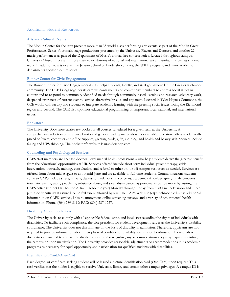# Additional Student Resources

# **Arts and Cultural Events**

The Modlin Center for the Arts presents more than 35 world-class performing arts events as part of the Modlin Great Performances Series, four main-stage productions presented by the University Players and Dancers, and another 22 music performances as part of the Department of Music's annual free concert series. Located throughout campus, University Museums presents more than 20 exhibitions of national and international art and artifacts as well as student work. In addition to arts events, the Jepson School of Leadership Studies, the WILL program, and many academic departments sponsor lecture series.

# **Bonner Center for Civic Engagement**

The Bonner Center for Civic Engagement (CCE) helps students, faculty, and staff get involved in the Greater Richmond community. The CCE brings together its campus constituents and community members to address social issues in context and to respond to community-identified needs through community-based learning and research, advocacy work, deepened awareness of current events, service, alternative breaks, and city tours. Located in Tyler Haynes Commons, the CCE works with faculty and students to integrate academic learning with the pressing social issues facing the Richmond region and beyond. The CCE also sponsors educational programming on important local, national, and international issues.

#### **Bookstore**

The University Bookstore carries textbooks for all courses scheduled for a given term at the University. A comprehensive selection of reference books and general reading materials is also available. The store offers academically priced software, computer and office supplies, greeting cards, gifts, clothing, and health and beauty aids. Services include faxing and UPS shipping. The bookstore's website is urspidershop.com.

# **Counseling and Psychological Services**

CAPS staff members are licensed doctoral-level mental health professionals who help students derive the greatest benefit from the educational opportunities at UR. Services offered include short-term individual psychotherapy, crisis intervention, outreach, training, consultation, and referral to other on- or off-campus resources as needed. Services are offered from about mid-August to about mid-June and are available to full-time students. Common reasons students come to CAPS include stress, anxiety, depression, relationship concerns, academic difficulties, grief, family concerns, traumatic events, eating problems, substance abuse, and sleep disturbance. Appointments can be made by visiting the CAPS office (Brunet Hall for the 2016-17 academic year) Monday through Friday from 8:30 a.m. to 12 noon and 1 to 5 p.m. Confidentiality is assured to the full extent allowed by law. The CAPS Web site (caps.richmond.edu) has additional information on CAPS services, links to anonymous online screening surveys, and a variety of other mental health information. Phone: (804) 289-8119; FAX: (804) 287-1227.

# **Disability Accommodations**

The University seeks to comply with all applicable federal, state, and local laws regarding the rights of individuals with disabilities. To facilitate such compliance, the vice president for student development serves as the University's disability coordinator. The University does not discriminate on the basis of disability in admission. Therefore, applicants are not required to provide information about their physical condition or disability status prior to admission. Individuals with disabilities are invited to contact the disability coordinator regarding any accommodations they may require in visiting the campus or upon matriculation. The University provides reasonable adjustments or accommodations in its academic programs as necessary for equal opportunity and participation for qualified students with disabilities.

# **Identification Card/One-Card**

Each degree- or certificate-seeking student will be issued a picture identification card (One-Card) upon request. This card verifies that the holder is eligible to receive University library and certain other campus privileges. A campus ID is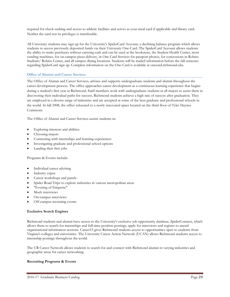required for check cashing and access to athletic facilities and serves as your meal card if applicable and library card. Neither the card nor its privileges is transferable.

All University students may sign up for the University's SpiderCard Account, a declining balance program which allows students to access previously deposited funds via their University One-Card. The SpiderCard Account allows students the ability to make purchases without carrying cash and can be used at the bookstore, the Student Health Center, most vending machines, for on-campus pizza delivery, in One Card Services for passport photos, for concessions in Robins Stadium/ Robins Center, and all campus dining locations. Students will be mailed information before the fall semester regarding SpiderCard sign up. Complete information on the One-Card is available at onecard.richmond.edu.

# **Office of Alumni and Career Services**

The Office of Alumni and Career Services, advises and supports undergraduate students and alumni throughout the career development process. The office approaches career development as a continuous learning experience that begins during a student's first year at Richmond. Staff members work with undergraduate students in all majors to assist them in discovering their individual paths for success. Richmond students achieve a high rate of success after graduation. They are employed in a diverse range of industries and are accepted at some of the best graduate and professional schools in the world. In fall 2008, the office relocated to a newly renovated space located on the third floor of Tyler Haynes Commons.

The Office of Alumni and Career Services assists students in:

- Exploring interests and abilities
- Choosing majors
- Connecting with internships and learning experiences
- Investigating graduate and professional school options
- Landing their first jobs

Programs & Events include:

- Individual career advising
- Industry expos
- Career workshops and panels
- Spider Road Trips to explore industries in various metropolitan areas
- "Evening of Etiquette"
- Mock interviews
- On-campus interviews
- Off-campus recruiting events

# **Exclusive Search Engines**

Richmond students and alumni have access to the University's exclusive job opportunity database, SpiderConnect, which allows them to search for internships and full-time position postings, apply for interviews and register to attend organizational information sessions. Career15 gives Richmond students access to opportunities open to students from Virginia's colleges and universities. The University Career Action Network (UCAN) allows Richmond students access to internship postings throughout the world.

The UR Career Network allows students to search for and connect with Richmond alumni in varying industries and geographic areas for career networking.

# **Recruiting Programs & Events**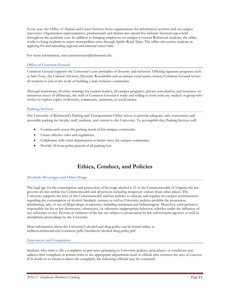Every year, the Office of Alumni and Career Services hosts organizations for information sessions and on-campus interviews. Organization representatives, professionals and alumni also attend five industry-focused expos held throughout the academic year. In addition to bringing employers on campus to recruit Richmond students, the office works to bring students to major metropolitan areas through Spider Road Trips. The office also assists students in applying for and attending regional and national career fairs.

For more information, visit careerservices@richmond.edu.

# **Office of Common Ground**

Common Ground supports the University's core principles of diversity and inclusion. Offering signature programs such as Safe Zone, the Cultural Advisors, Diversity Roundtable and an annual social justice retreat, Common Ground invites all students to join in the work of building a truly inclusive community.

Through workshops, diversity trainings for student leaders, all-campus programs, private consultation, and resources on numerous issues of difference, the staff of Common Ground is ready and willing to work with any student or group who wishes to explore topics of diversity, community, inclusion, or social justice.

# **Parking Services**

The University of Richmond's Parking and Transportation Office strives to provide adequate, safe, convenient, and accessible parking for faculty, staff, students, and visitors to the University. To accomplish this, Parking Services will:

- Continuously assess the parking needs of the campus community.
- Create effective rules and regulations.
- Collaborate with other departments to better serve the campus community.
- Provide 24-hour police patrols of all parking lots.

# **Ethics, Conduct, and Policies**

# **Alcoholic Beverages and Other Drugs**

The legal age for the consumption and possession of beverage alcohol is 21 in the Commonwealth of Virginia; the law governs all sites within the Commonwealth and all persons including temporary visitors from other places. The University supports the laws of the Commonwealth and has policies to educate and regulate its campus constituencies regarding the consumption of alcohol. Similarly, statutes as well as University policies prohibit the possession, distribution, sale, or use of illegal drugs or narcotics, including marijuana and hallucinogens. Moreover, each person is responsible for his or her destructive, obstructive, or otherwise inappropriate behavior, whether under the influence of any substance or not. Persons in violation of the law are subject to prosecution by law enforcement agencies as well as disciplinary proceedings by the University.

More information about the University's alcohol and drug policy can be found online at wellness.richmond.edu/common/pdfs/factsheets/alcohol-drug-policy.pdf

# **Grievances and Complaints**

Students who wish to file a complaint or grievance pertaining to University policies, procedures, or conditions may address their complaint in written form to the appropriate department head or official who oversees the area of concern. If in doubt as to whom to direct the complaint, the following officials may be contacted: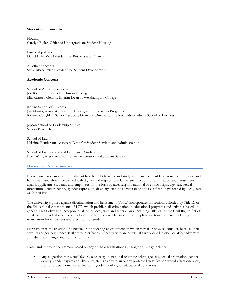#### **Student Life Concerns**

Housing Carolyn Bigler, Office of Undergraduate Student Housing

Financial policies David Hale, Vice President for Business and Finance

All other concerns Steve Bisese, Vice President for Student Development

#### **Academic Concerns**

School of Arts and Sciences Joe Boehman, Dean of Richmond College Mia Reinoso Genoni, Interim Dean of Westhampton College

Robins School of Business Jim Monks, Associate Dean for Undergraduate Business Programs Richard Coughlan, Senior Associate Dean and Director of the Reynolds Graduate School of Business

Jepson School of Leadership Studies Sandra Peart, Dean

School of Law Kristine Henderson, Associate Dean for Student Services and Administration

School of Professional and Continuing Studies Ellen Walk, Associate Dean for Administration and Student Services

#### **Harassment & Discrimination**

Every University employee and student has the right to work and study in an environment free from discrimination and harassment and should be treated with dignity and respect. The University prohibits discrimination and harassment against applicants, students, and employees on the basis of race, religion, national or ethnic origin, age, sex, sexual orientation, gender identity, gender expression, disability, status as a veteran or any classification protected by local, state or federal law.

The University's policy against discrimination and harassment (Policy) incorporates protections afforded by Title IX of the Educational Amendments of 1972, which prohibits discrimination in educational programs and activities based on gender. This Policy also incorporates all other local, state and federal laws, including Title VII of the Civil Rights Act of 1964. Any individual whose conduct violates the Policy will be subject to disciplinary action up to and including termination for employees and expulsion for students.

Harassment is the creation of a hostile or intimidating environment, in which verbal or physical conduct, because of its severity and/or persistence, is likely to interfere significantly with an individual's work or education, or affect adversely an individual's living conditions on campus.

Illegal and improper harassment based on any of the classifications in paragraph 1, may include:

• Any suggestion that sexual favors, race, religion, national or ethnic origin, age, sex, sexual orientation, gender identity, gender expression, disability, status as a veteran or any protected classification would affect one's job, promotion, performance evaluations, grades, working or educational conditions;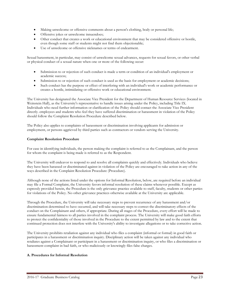- Making unwelcome or offensive comments about a person's clothing, body or personal life;
- Offensive jokes or unwelcome innuendoes;
- Other conduct that creates a work or educational environment that may be considered offensive or hostile, even though some staff or students might not find them objectionable;
- Use of unwelcome or offensive nicknames or terms of endearment.

Sexual harassment, in particular, may consist of unwelcome sexual advances, requests for sexual favors, or other verbal or physical conduct of a sexual nature when one or more of the following occur:

- Submission to or rejection of such conduct is made a term or condition of an individual's employment or academic success;
- Submission to or rejection of such conduct is used as the basis for employment or academic decisions;
- Such conduct has the purpose or effect of interfering with an individual's work or academic performance or creates a hostile, intimidating or offensive work or educational environment.

The University has designated the Associate Vice President for the Department of Human Resource Services (located in Weinstein Hall), as the University's representative to handle issues arising under the Policy, including Title IX. Individuals who need further information or clarification of the Policy should contact the Associate Vice President directly. employees and students who feel they have suffered discrimination or harassment in violation of the Policy should follow the Complaint Resolution Procedure described below.

The Policy also applies to complaints of harassment or discrimination involving applicants for admission or employment, or persons aggrieved by third parties such as contractors or vendors serving the University.

# **Complaint Resolution Procedure**

For ease in identifying individuals, the person making the complaint is referred to as the Complainant, and the person for whom the complaint is being made is referred to as the Respondent.

The University will endeavor to respond to and resolve all complaints quickly and effectively. Individuals who believe they have been harassed or discriminated against in violation of the Policy are encouraged to take action in any of the ways described in the Complaint Resolution Procedure (Procedure).

Although none of the actions listed under the options for Informal Resolution, below, are required before an individual may file a Formal Complaint, the University favors informal resolution of these claims whenever possible. Except as expressly provided herein, the Procedure is the only grievance practice available to staff, faculty, students or other parties for violations of the Policy. No other grievance practices otherwise available at the University are applicable.

Through the Procedure, the University will take necessary steps to prevent recurrence of any harassment and/or discrimination determined to have occurred, and will take necessary steps to correct the discriminatory effects of the conduct on the Complainant and others, if appropriate. During all stages of the Procedure, every effort will be made to ensure fundamental fairness to all parties involved in the complaint process. The University will make good faith efforts to protect the confidentiality of those involved in the Procedure to the extent permitted by law and to the extent that continued protection does not interfere with the University's ability to investigate allegations or to take corrective action.

The University prohibits retaliation against any individual who files a complaint (informal or formal) in good faith or participates in a harassment or discrimination inquiry. Disciplinary action will be taken against any individual who retaliates against a Complainant or participant in a harassment or discrimination inquiry, or who files a discrimination or harassment complaint in bad faith, or who maliciously or knowingly files false charges.

# **A. Procedures for Informal Resolution**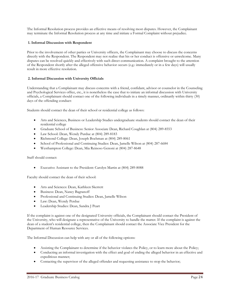The Informal Resolution process provides an effective means of resolving most disputes. However, the Complainant may terminate the Informal Resolution process at any time and initiate a Formal Complaint without prejudice.

# **1. Informal Discussion with Respondent**

Prior to the involvement of other parties or University officers, the Complainant may choose to discuss the concerns directly with the Respondent. The Respondent may not realize that his or her conduct is offensive or unwelcome. Many disputes can be resolved quickly and effectively with such direct communication. A complaint brought to the attention of the Respondent shortly after the alleged offensive behavior occurs (e.g.: immediately or in a few days) will usually result in more effective resolution.

# **2. Informal Discussion with University Officials**

Understanding that a Complainant may discuss concerns with a friend, confidant, advisor or counselor in the Counseling and Psychological Services office, etc., it is nonetheless the case that to initiate an informal discussion with University officials, a Complainant should contact one of the following individuals in a timely manner, ordinarily within thirty (30) days of the offending conduct:

Students should contact the dean of their school or residential college as follows:

- Arts and Sciences, Business or Leadership Studies undergraduate students should contact the dean of their residential college
- Graduate School of Business: Senior Associate Dean, Richard Coughlan at (804) 289-8553
- Law School: Dean, Wendy Purdue at (804) 289-8183
- Richmond College: Dean, Joseph Boehman at (804) 289-8061
- School of Professional and Continuing Studies: Dean, Jamelle Wilson at (804) 287-6684
- Westhampton College: Dean, Mia Reinoso Genoni at (804) 287-8648

Staff should contact:

• Executive Assistant to the President: Carolyn Martin at (804) 289-8088

Faculty should contact the dean of their school:

- Arts and Sciences: Dean, Kathleen Skerrett
- Business: Dean, Nancy Bagranoff
- Professional and Continuing Studies: Dean, Jamelle Wilson
- Law: Dean, Wendy Perdue
- Leadership Studies: Dean, Sandra J Peart

If the complaint is against one of the designated University officials, the Complainant should contact the President of the University, who will designate a representative of the University to handle the matter. If the complaint is against the dean of a student's residential college, then the Complainant should contact the Associate Vice President for the Department of Human Resource Services.

The Informal Discussion can help with any or all of the following options:

- Assisting the Complainant to determine if the behavior violates the Policy, or to learn more about the Policy;
- Conducting an informal investigation with the effect and goal of ending the alleged behavior in an effective and expeditious manner;
- Contacting the supervisor of the alleged offender and requesting assistance to stop the behavior;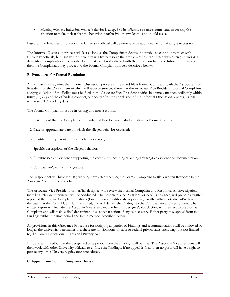• Meeting with the individual whose behavior is alleged to be offensive or unwelcome, and discussing the situation to make it clear that the behavior is offensive or unwelcome and should cease.

Based on the Informal Discussion, the University official will determine what additional action, if any, is necessary.

The Informal Discussion process will last as long as the Complainant deems it desirable to continue to meet with University officials, but usually the University will try to resolve the problem at this early stage within ten (10) working days. Most complaints can be resolved at this stage. If not satisfied with the resolution from the Informal Discussion, then the Complainant may proceed to the Formal Complaint process described below.

# **B. Procedures for Formal Resolution**

A Complainant may omit the Informal Discussion process entirely and file a Formal Complaint with the Associate Vice President for the Department of Human Resource Services (hereafter the Associate Vice President). Formal Complaints alleging violation of the Policy must be filed in the Associate Vice President's office in a timely manner, ordinarily within thirty (30) days of the offending conduct, or shortly after the conclusion of the Informal Discussion process, usually within ten (10) working days.

The Formal Complaint must be in writing and must set forth:

- 1. A statement that the Complainant intends that this document shall constitute a Formal Complaint;
- 2. Date or approximate date on which the alleged behavior occurred;
- 3. Identity of the person(s) purportedly responsible;
- 4. Specific descriptions of the alleged behavior;
- 5. All witnesses and evidence supporting the complaint, including attaching any tangible evidence or documentation;
- 6. Complainant's name and signature.

The Respondent will have ten (10) working days after receiving the Formal Complaint to file a written Response in the Associate Vice President's office.

The Associate Vice President, or her/his designee, will review the Formal Complaint and Response. An investigation, including relevant interviews, will be conducted. The Associate Vice President, or her/his designee, will prepare a written report of the Formal Complaint Findings (Findings) as expeditiously as possible, usually within forty-five (45) days from the date that the Formal Complaint was filed, and will deliver the Findings to the Complainant and Respondent. The written report will include the Associate Vice President's or her/his designee's conclusions with respect to the Formal Complaint and will make a final determination as to what action, if any, is necessary. Either party may appeal from the Findings within the time period and in the method described below.

All provisions in this Grievance Procedure for notifying all parties of Findings and recommendations will be followed so long as the University determines that there are no violations of state or federal privacy laws, including, but not limited to, the Family Educational Rights and Privacy Act.

If no appeal is filed within the designated time period, then the Findings will be final. The Associate Vice President will then work with other University officials to enforce the Findings. If no appeal is filed, then no party will have a right to pursue any other University grievance procedures.

# **C. Appeal from Formal Complaint Decision**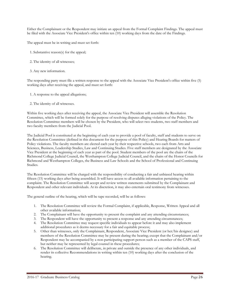Either the Complainant or the Respondent may initiate an appeal from the Formal Complaint Findings. The appeal must be filed with the Associate Vice President's office within ten (10) working days from the date of the Findings.

The appeal must be in writing and must set forth:

- 1. Substantive reason(s) for the appeal;
- 2. The identity of all witnesses;
- 3. Any new information.

The responding party must file a written response to the appeal with the Associate Vice President's office within five (5) working days after receiving the appeal, and must set forth:

- 1. A response to the appeal allegations;
- 2. The identity of all witnesses.

Within five working days after receiving the appeal, the Associate Vice President will assemble the Resolution Committee, which will be formed solely for the purpose of resolving disputes alleging violations of the Policy. The Resolution Committee members will be chosen by the President, who will select two students, two staff members and two faculty members from the Judicial Pool.

The Judicial Pool is constituted at the beginning of each year to provide a pool of faculty, staff and students to serve on the Resolution Committee (defined in this document for the purpose of this Policy) and Hearing Boards for matters of Policy violations. The faculty members are elected each year by their respective schools, two each from Arts and Sciences, Business, Leadership Studies, Law and Continuing Studies. Five staff members are designated by the Associate Vice President at the beginning of each year as part of the pool. Student members of the pool are the chairs of the Richmond College Judicial Council, the Westhampton College Judicial Council, and the chairs of the Honor Councils for Richmond and Westhampton Colleges, the Business and Law Schools and the School of Professional and Continuing Studies.

The Resolution Committee will be charged with the responsibility of conducting a fair and unbiased hearing within fifteen (15) working days after being assembled. It will have access to all available information pertaining to the complaint. The Resolution Committee will accept and review written statements submitted by the Complainant and Respondent and other relevant individuals. At its discretion, it may also entertain oral testimony from witnesses.

The general outline of the hearing, which will be tape recorded, will be as follows:

- 1. The Resolution Committee will review the Formal Complaint, if applicable, Response, Written Appeal and all other available information;
- 2. The Complainant will have the opportunity to present the complaint and any attending circumstances;
- 3. The Respondent will have the opportunity to present a response and any attending circumstances;
- 4. The Resolution Committee may request specific individuals to appear before it and may also implement additional procedures as it deems necessary for a fair and equitable process;
- 5. Other than witnesses, only the Complainant, Respondent, Associate Vice President (or her/his designee) and members of the Resolution Committee may be present during the hearing; except that the Complainant and/or Respondent may be accompanied by a non-participating support person such as a member of the CAPS staff, but neither may be represented by legal counsel in these procedures;
- 6. The Resolution Committee will deliberate, in private and outside the presence of any other individuals, and render its collective Recommendations in writing within ten (10) working days after the conclusion of the hearing.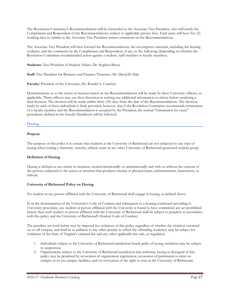The Resolution Committee's Recommendations will be forwarded to the Associate Vice President, who will notify the Complainant and Respondent of the Recommendations, subject to applicable privacy laws. Each party will have five (5) working days to submit to the Associate Vice President written comments on the Recommendations.

The Associate Vice President will then forward the Recommendations, the investigative materials, including the hearing evidence, and the comments by the Complainant and Respondent, if any, to the following (depending on whether the Resolution Committee recommended action against a student, staff member or faculty member):

**Students:** Vice President of Student Affairs, Dr. Stephen Bisese

**Staff:** Vice President for Business and Finance/Treasurer, Mr. David B. Hale

**Faculty:** President of the University, Dr. Ronald A. Crutcher

Determinations as to the action or inaction based on the Recommendations will be made by these University officers, as applicable. These officers may use their discretion in seeking any additional information or advice before rendering a final decision. The decision will be made within thirty (30) days from the date of the Recommendations. The decision made by each of these individuals is final; provided, however, that if the Resolution Committee recommends termination of a faculty member and the Recommendation is accepted by the President, the normal "termination for cause" procedures defined in the Faculty Handbook will be followed.

#### **Hazing**

#### **Purpose**

The purpose of this policy is to ensure that students at the University of Richmond are not subjected to any type of hazing when joining a fraternity, sorority, athletic team or any other University of Richmond sponsored student group.

# **Definition of Hazing**

Hazing is defined as any action or situation, created intentionally or unintentionally and with or without the consent of the persons subjected to the action or situation that produces mental or physical harm, embarrassment, harassment, or ridicule.

#### **University of Richmond Policy on Hazing**

No student or any person affiliated with the University of Richmond shall engage in hazing, as defined above.

If, in the determination of the University's Code of Conduct and subsequent to a hearing conducted according to University procedure, any student or person affiliated with the University is found to have committed any act prohibited herein, then such student or person affiliated with the University of Richmond shall be subject to penalties in accordance with this policy and the University of Richmond's Student Code of Conduct.

The penalties set forth below may be imposed for violations of this policy regardless of whether the violation occurred on or off campus, and shall be in addition to any other penalty to which the offending student(s) may be subject for violations of the State of Virginia's criminal law and any other applicable law rule, or regulation.

- 1. Individuals subject to the University of Richmond jurisdiction found guilty of hazing violations may be subject to suspension.
- 2. Organizations subject to the University of Richmond jurisdiction that authorize hazing in disregard of this policy may be penalized by revocation of organization registration, revocation of permission to meet on campus or to use campus facilities, and/or revocation of the right to exist at the University of Richmond.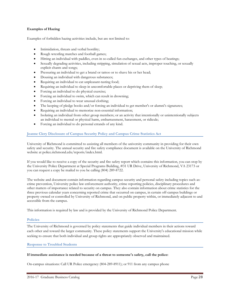# **Examples of Hazing**

Examples of forbidden hazing activities include, but are not limited to:

- Intimidation, threats and verbal hostility;
- Rough wrestling matches and football games;
- Hitting an individual with paddles, even in so-called fun exchanges, and other types of beatings;
- Sexually degrading activities, including stripping, simulation of sexual acts, improper touching, or sexually explicit chants and songs;
- Pressuring an individual to get a brand or tattoo or to shave his or her head;
- Dousing an individual with dangerous substances;
- Requiring an individual to eat unpleasant-tasting food;
- Requiring an individual to sleep in uncomfortable places or depriving them of sleep;
- Forcing an individual to do physical exercise;
- Forcing an individual to swim, which can result in drowning;
- Forcing an individual to wear unusual clothing;
- The keeping of pledge books and/or forcing an individual to get member's or alumni's signatures;
- Requiring an individual to memorize non-essential information;
- Isolating an individual from other group members; or an activity that intentionally or unintentionally subjects an individual to mental or physical harm, embarrassment, harassment, or ridicule;
- Forcing an individual to do personal errands of any kind.

# **Jeanne Clery Disclosure of Campus Security Policy and Campus Crime Statistics Act**

University of Richmond is committed to assisting all members of the university community in providing for their own safety and security. The annual security and fire safety compliance document is available on the University of Richmond website at police.richmond.edu/reports/index.html.

If you would like to receive a copy of the security and fire safety report which contains this information, you can stop by the University Police Department at Special Programs Building, #31 UR Drive, University of Richmond, VA 23173 or you can request a copy be mailed to you be calling (804) 289-8722.

The website and document contain information regarding campus security and personal safety including topics such as: crime prevention, University police law enforcement authority, crime reporting policies, disciplinary procedures and other matters of importance related to security on campus. They also contain information about crime statistics for the three previous calendar years concerning reported crime that occurred on campus, in certain off-campus buildings or property owned or controlled by University of Richmond, and on public property within, or immediately adjacent to and accessible from the campus.

This information is required by law and is provided by the University of Richmond Police Department.

#### **Policies**

The University of Richmond is governed by policy statements that guide individual members in their actions toward each other and toward the larger community. These policy statements support the University's educational mission while seeking to ensure that both individual and group rights are appropriately observed and maintained.

#### **Response to Troubled Students**

#### **If immediate assistance is needed because of a threat to someone's safety, call the police:**

On-campus situations: Call UR Police emergency (804-289-8911); or 911 from any campus phone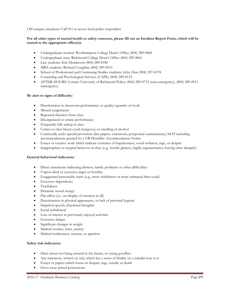Off-campus situations: Call 911 to access local police responders

# **For all other types of mental health or safety concerns, please fill out an Incident Report Form, which will be routed to the appropriate office(s):**

- Undergraduate women: Westhampton College Dean's Office (804) 289-8468
- Undergraduate men: Richmond College Dean's Office (804) 289-8061
- Law students: Kris Henderson (804) 289-8186
- MBA students: Richard Coughlan (804) 289-8553
- School of Professional and Continuing Studies students: John Zinn (804) 287-6378
- Counseling and Psychological Services (CAPS): (804) 289-8119.
- AFTER-HOURS: Contact University of Richmond Police: (804) 289-8715 (non-emergency), (804) 289-8911 (emergency).

# **Be alert to signs of difficulty:**

- Deterioration in classroom performance or quality/quantity of work
- Missed assignments
- Repeated absences from class
- Disorganized or erratic performance
- Frequently falls asleep in class
- Comes to class bleary-eyed, hungover, or smelling of alcohol
- Continually seeks special provisions (late papers, extensions, postponed examinations); NOT including accommodations granted by a UR Disability Accommodation Notice
- Essays or creative work which indicate extremes of hopelessness, social isolation, rage, or despair
- Inappropriate or atypical behavior in class (e.g., hostile glances; highly argumentative; leaving class abruptly)

# **General behavioral indicators:**

- Direct statements indicating distress, family problems or other difficulties
- Unprovoked or excessive anger or hostility
- Exaggerated personality traits (e.g., more withdrawn or more animated than usual)
- Excessive dependency
- Tearfulness
- Dramatic mood swings
- Flat affect (i.e., no display of emotion at all)
- Deterioration in physical appearance, or lack of personal hygiene
- Impaired speech; disjointed thoughts
- Social withdrawal
- Loss of interest in previously enjoyed activities
- Excessive fatigue
- Significant changes in weight
- Marked worries, fears, anxiety
- Marked restlessness, tension, or agitation

# **Safety risk indicators:**

- Hints about not being around in the future, or saying goodbye
- Any statement, written or oral, which has a sense of finality or a suicidal tone to it
- Essays or papers which focus on despair, rage, suicide or death
- Gives away prized possessions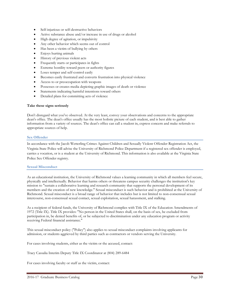- Self-injurious or self-destructive behaviors
- Active substance abuse and/or increase in use of drugs or alcohol
- High degree of agitation, or impulsivity
- Any other behavior which seems out of control
- Has been a victim of bullying by others
- Enjoys hurting animals
- History of previous violent acts
- Frequently starts or participates in fights
- Extreme hostility toward peers or authority figures
- Loses temper and self-control easily
- Becomes easily frustrated and converts frustration into physical violence
- Access to or preoccupation with weapons
- Possesses or creates media depicting graphic images of death or violence
- Statements indicating harmful intentions toward others
- Detailed plans for committing acts of violence

# **Take these signs seriously**

Don't disregard what you've observed. At the very least, convey your observations and concerns to the appropriate dean's office. The dean's office usually has the most holistic picture of each student, and is best able to gather information from a variety of sources. The dean's office can call a student in, express concern and make referrals to appropriate sources of help.

#### **Sex Offender**

In accordance with the Jacob Wetterling Crimes Against Children and Sexually Violent Offender Registration Act, the Virginia State Police will advise the University of Richmond Police Department if a registered sex offender is employed, carries a vocation, or is a student at the University of Richmond. This information is also available at the Virginia State Police Sex Offender registry.

#### **Sexual Misconduct**

As an educational institution, the University of Richmond values a learning community in which all members feel secure, physically and intellectually. Behavior that harms others or threatens campus security challenges the institution's key mission to "sustain a collaborative learning and research community that supports the personal development of its members and the creation of new knowledge." Sexual misconduct is such behavior and is prohibited at the University of Richmond. Sexual misconduct is a broad range of behavior that includes but is not limited to non-consensual sexual intercourse, non-consensual sexual contact, sexual exploitation, sexual harassment, and stalking.

As a recipient of federal funds, the University of Richmond complies with Title IX of the Education Amendments of 1972 (Title IX). Title IX provides: "No person in the United States shall, on the basis of sex, be excluded from participation in, be denied benefits of, or be subjected to discrimination under any education program or activity receiving Federal financial assistance."

This sexual misconduct policy ("Policy") also applies to sexual misconduct complaints involving applicants for admission, or students aggrieved by third parties such as contractors or vendors serving the University.

For cases involving students, either as the victim or the accused, contact:

Tracy Cassalia Interim Deputy Title IX Coordinator at (804) 289-6484

For cases involving faculty or staff as the victim, contact: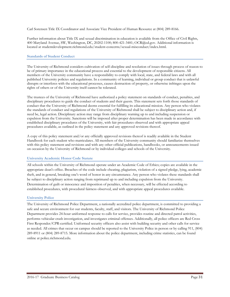Carl Sorensen Title IX Coordinator and Associate Vice President of Human Resource at (804) 289-8166.

Further information about Title IX and sexual discrimination in education is available from the Office of Civil Rights, 400 Maryland Avenue, SW, Washington, DC, 20202-1100; 800-421-3481; OCR@ed.gov. Additional information is located at studentdevelopment.richmond.edu/student-concerns/sexual-misconduct/index.html.

#### **Standards of Student Conduct**

The University of Richmond considers cultivation of self-discipline and resolution of issues through process of reason to be of primary importance in the educational process and essential to the development of responsible citizens. All members of the University community have a responsibility to comply with local, state, and federal laws and with all published University policies and regulations. In a community of learning, individual or group conduct that is unlawful disrupts or interferes with the educational processes, causes destruction of property, or otherwise infringes upon the rights of others or of the University itself cannot be tolerated.

The trustees of the University of Richmond have authorized a policy statement on standards of conduct, penalties, and disciplinary procedures to guide the conduct of students and their guests. This statement sets forth those standards of conduct that the University of Richmond deems essential for fulfilling its educational mission. Any person who violates the standards of conduct and regulations of the University of Richmond shall be subject to disciplinary action and, if need be, legal action. Disciplinary action may range from disciplinary warning up to and including suspension or expulsion from the University. Sanctions will be imposed after proper determination has been made in accordance with established disciplinary procedures of the University, with fair procedures observed and with appropriate appeal procedures available, as outlined in the policy statement and any approved revisions thereof.

A copy of this policy statement and/or any officially approved revisions thereof is readily available in the Student Handbook for each student who matriculates. All members of the University community should familiarize themselves with this policy statement and revisions and with any other official publications, handbooks, or announcements issued on occasion by the University of Richmond or by individual colleges and schools of the University.

# **University Academic Honor Code Statute**

All schools within the University of Richmond operate under an Academic Code of Ethics; copies are available in the appropriate dean's office. Breaches of the code include cheating, plagiarism, violation of a signed pledge, lying, academic theft, and in general, breaking one's word of honor in any circumstance. Any person who violates these standards shall be subject to disciplinary action ranging from reprimand up to and including expulsion from the University. Determination of guilt or innocence and imposition of penalties, when necessary, will be effected according to established procedures, with procedural fairness observed, and with appropriate appeal procedures available.

# **University Police**

The University of Richmond Police Department, a nationally accredited police department, is committed to providing a safe and secure environment for our students, faculty, staff, and visitors. The University of Richmond Police Department provides 24-hour uniformed response to calls for service, provides routine and directed patrol activities, performs vehicular crash investigation, and investigates criminal offenses. Additionally, all police officers are Red Cross First Responder/CPR-certified. Uniformed security officers also assist with building security and other calls for service as needed. All crimes that occur on campus should be reported to the University Police in person or by calling 911, (804) 289-8911 or (804) 289-8715. More information about the police department, including crime statistics, can be found online at police.richmond.edu.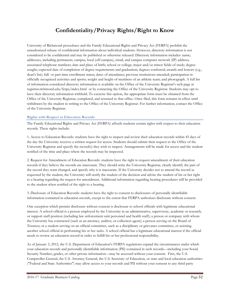# **Confidentiality/Privacy Rights/Right to Know**

University of Richmond procedures and the Family Educational Rights and Privacy Act (FERPA) prohibit the unauthorized release of confidential information about individual students. However, directory information is not considered to be confidential and may be published or otherwise released. Directory information includes: name; addresses, including permanent, campus, local (off-campus), email, and campus computer network (IP) address; associated telephone numbers; date and place of birth; school or college; major and/or minor fields of study; degree sought; expected date of completion of degree requirements and graduation; degrees conferred; awards and honors (e.g., dean's list); full- or part-time enrollment status; dates of attendance; previous institutions attended; participation in officially recognized activities and sports; weight and height of members of an athletic team; and photograph. A full list of information considered directory information is available on the Office of the University Registrar's web page at registrar.richmond.edu/ferpa/index.html or by contacting the Office of the University Registrar. Students may opt to have their directory information withheld. To exercise this option, the appropriate form must be obtained from the Office of the University Registrar, completed, and returned to that office. Once filed, this form remains in effect until withdrawn by the student in writing to the Office of the University Registrar. For further information, contact the Office of the University Registrar.

# **Rights with Respect to Education Records**

The Family Educational Rights and Privacy Act (FERPA) affords students certain rights with respect to their education records. These rights include:

1. Access to Education Records: students have the right to inspect and review their education records within 45 days of the day the University receives a written request for access. Students should submit their request to the Office of the University Registrar and specify the record(s) they wish to inspect. Arrangements will be made for access and the student notified of the time and place where the records may be inspected.

2. Request for Amendment of Education Records: students have the right to request amendment of their education records if they believe the records are inaccurate. They should write the University Registrar, clearly identify the part of the record they want changed, and specify why it is inaccurate. If the University decides not to amend the record as requested by the student, the University will notify the student of the decision and advise the student of his or her right to a hearing regarding the request for amendment. Additional information regarding hearing procedures will be provided to the student when notified of the right to a hearing.

3. Disclosure of Education Records: students have the right to consent to disclosures of personally identifiable information contained in education records, except to the extent that FERPA authorizes disclosure without consent.

One exception which permits disclosure without consent is disclosure to school officials with legitimate educational interest. A school official is a person employed by the University in an administrative, supervisory, academic or research, or support staff position (including law enforcement unit personnel and health staff); a person or company with whom the University has contracted (such as an attorney, auditor, or collection agent); a person serving on the Board of Trustees; or a student serving on an official committee, such as a disciplinary or grievance committee, or assisting another school official in performing his or her tasks. A school official has a legitimate educational interest if the official needs to review an education record in order to fulfill his or her professional responsibility.

As of January 3, 2012, the U.S. Department of Education's FERPA regulations expand the circumstances under which your education records and personally identifiable information (PII) contained in such records—including your Social Security Number, grades, or other private information—may be accessed without your consent. First, the U.S. Comptroller General, the U.S. Attorney General, the U.S. Secretary of Education, or state and local education authorities ("Federal and State Authorities") may allow access to your records and PII without your consent to any third party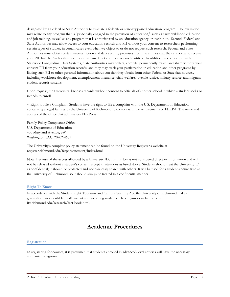designated by a Federal or State Authority to evaluate a federal- or state-supported education program. The evaluation may relate to any program that is "principally engaged in the provision of education," such as early childhood education and job training, as well as any program that is administered by an education agency or institution. Second, Federal and State Authorities may allow access to your education records and PII without your consent to researchers performing certain types of studies, in certain cases even when we object to or do not request such research. Federal and State Authorities must obtain certain use-restriction and data security promises from the entities that they authorize to receive your PII, but the Authorities need not maintain direct control over such entities. In addition, in connection with Statewide Longitudinal Data Systems, State Authorities may collect, compile, permanently retain, and share without your consent PII from your education records, and they may track your participation in education and other programs by linking such PII to other personal information about you that they obtain from other Federal or State data sources, including workforce development, unemployment insurance, child welfare, juvenile justice, military service, and migrant student records systems.

Upon request, the University discloses records without consent to officials of another school in which a student seeks or intends to enroll.

4. Right to File a Complaint: Students have the right to file a complaint with the U.S. Department of Education concerning alleged failures by the University of Richmond to comply with the requirements of FERPA. The name and address of the office that administers FERPA is:

Family Policy Compliance Office U.S. Department of Education 400 Maryland Avenue, SW Washington, D.C. 20202-4605

The University's complete policy statement can be found on the University Registrar's website at registrar.richmond.edu/ferpa/statement/index.html.

Note: Because of the access afforded by a University ID, this number is not considered directory information and will not be released without a student's consent except in situations as listed above. Students should treat the University ID as confidential; it should be protected and not carelessly shared with others. It will be used for a student's entire time at the University of Richmond, so it should always be treated in a confidential manner.

# **Right To Know**

In accordance with the Student Right To Know and Campus Security Act, the University of Richmond makes graduation rates available to all current and incoming students. These figures can be found at ifx.richmond.edu/research/fact-book.html.

# **Academic Procedures**

#### **Registration**

In registering for courses, it is presumed that students enrolled in advanced-level courses will have the necessary academic background.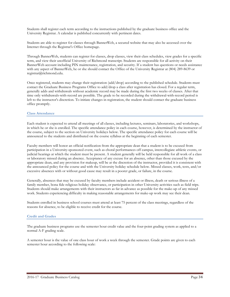Students shall register each term according to the instructions published by the graduate business office and the University Registrar. A calendar is published concurrently with pertinent dates.

Students are able to register for classes through BannerWeb, a secured website that may also be accessed over the Internet through the Registrar's Office homepage.

Through BannerWeb, students can register for classes, drop classes, view their class schedules, view grades for a specific term, and view their unofficial University of Richmond transcript. Students are responsible for all activity on their BannerWeb account including PIN maintenance, registration, and security. If a student has questions or needs assistance with any aspect of BannerWeb, he or she should contact the Office of the University Registrar at (804) 289-8639 or registrar@richmond.edu.

Once registered, students may change their registration (add/drop) according to the published schedule. Students must contact the Graduate Business Programs Office to add/drop a class after registration has closed. For a regular term, generally adds and withdrawals without academic record may be made during the first two weeks of classes. After that time only withdrawals-with-record are possible. The grade to be recorded during the withdrawal-with-record period is left to the instructor's discretion. To initiate changes in registration, the student should contact the graduate business office promptly.

#### **Class Attendance**

Each student is expected to attend all meetings of all classes, including lectures, seminars, laboratories, and workshops, in which he or she is enrolled. The specific attendance policy in each course, however, is determined by the instructor of the course, subject to the section on University holidays below. The specific attendance policy for each course will be announced to the students and distributed on the course syllabus at the beginning of each semester.

Faculty members will honor an official notification from the appropriate dean that a student is to be excused from participation in a University-sponsored event, such as choral performances off campus, intercollegiate athletic events, or judicial hearings at which the student must be present. A student generally will be held responsible for all work of a class or laboratory missed during an absence. Acceptance of any excuse for an absence, other than those excused by the appropriate dean, and any provision for makeup, will be at the discretion of the instructor, provided it is consistent with the announced policy for the course and with the University holiday schedule below. Missed classes, work, tests, and/or excessive absences with or without good cause may result in a poorer grade, or failure, in the course.

Generally, absences that may be excused by faculty members include accident or illness, death or serious illness of a family member, bona fide religious holiday observance, or participation in other University activities such as field trips. Students should make arrangements with their instructors as far in advance as possible for the make-up of any missed work. Students experiencing difficulty in making reasonable arrangements for make-up work may see their dean.

Students enrolled in business school courses must attend at least 75 percent of the class meetings, regardless of the reasons for absence, to be eligible to receive credit for the course.

#### **Credit and Grades**

The graduate business programs use the semester hour credit value and the four-point grading system as applied to a normal A-F grading scale.

A semester hour is the value of one class hour of work a week through the semester. Grade points are given to each semester hour according to the following scale: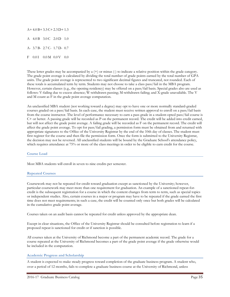$A+4.0 B+3.3 C+2.3 D+1.3$ A 4.0 B 3.0 C 2.0 D 1.0 A- 3.7 B- 2.7 C- 1.7 D- 0.7  ${\rm F}$  0.0 I 0.0 M 0.0 V 0.0

These letter grades may be accompanied by a  $(+)$  or minus  $(.)$  to indicate a relative position within the grade category. The grade point average is calculated by dividing the total number of grade points earned by the total number of GPA units. The grade point average is represented to two significant decimal figures and truncated, not rounded. Each of these totals is accumulated term by term. Students may not choose to take a class pass/fail in the MBA program. However, certain classes (e.g., the opening residency) may be offered on a pass/fail basis. Special grades also are used as follows: V-failing due to excess absence; W-withdrawn passing; M-withdrawn failing; and X-grade unavailable. The V and M count as F in the grade point average computation.

An unclassified MBA student (not working toward a degree) may opt to have one or more normally standard-graded courses graded on a pass/fail basis. In each case, the student must receive written approval to enroll on a pass/fail basis from the course instructor. The level of performance necessary to earn a pass grade in a student-opted pass/fail course is C+ or better. A passing grade will be recorded as P on the permanent record. The credit will be added into credit earned, but will not affect the grade point average. A failing grade will be recorded as F on the permanent record. The credit will affect the grade point average. To opt for pass/fail grading, a permission form must be obtained from and returned with appropriate signatures to the Office of the University Registrar by the end of the 10th day of classes. The student must first register for the course and then file the permission form. Once the form is submitted to the University Registrar, the decision may not be reversed. All unclassified students will be bound by the Graduate School's attendance policy, which requires attendance at 75% or more of the class meetings in order to be eligible to earn credit for the course.

#### **Course Load**

Most MBA students will enroll in seven to nine credits per semester.

# **Repeated Courses**

Coursework may not be repeated for credit toward graduation except as sanctioned by the University; however, particular coursework may meet more than one requirement for graduation. An example of a sanctioned repeat-forcredit is the subsequent registration for a course in which the content changes from term to term, such as special topics or independent studies. Also, certain courses in a major or program may have to be repeated if the grade earned the first time does not meet requirements; in such a case, the credit will be counted only once but both grades will be calculated in the cumulative grade point average.

Courses taken on an audit basis cannot be repeated for credit unless approved by the appropriate dean.

Except in clear situations, the Office of the University Registrar should be consulted before registration to learn if a proposed repeat is sanctioned for credit or if sanction is possible.

All courses taken at the University of Richmond become a part of the permanent academic record. The grade for a course repeated at the University of Richmond becomes a part of the grade point average if the grade otherwise would be included in the computation.

# **Academic Progress and Scholarship**

A student is expected to make steady progress toward completion of the graduate business program. A student who, over a period of 12 months, fails to complete a graduate business course at the University of Richmond, unless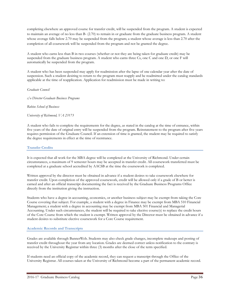completing elsewhere an approved course for transfer credit, will be suspended from the program. A student is expected to maintain an average of no less than B- (2.70) to remain in or graduate from the graduate business program. A student whose average falls below 2.70 may be suspended from the program; a student whose average is less than 2.70 after the completion of all coursework will be suspended from the program and not be granted the degree.

A student who earns less than B in two courses (whether or not they are being taken for graduate credit) may be suspended from the graduate business program. A student who earns three Cs, one C and one D, or one F will automatically be suspended from the program.

A student who has been suspended may apply for readmission after the lapse of one calendar year after the date of suspension. Such a student desiring to return to the program must reapply and be readmitted under the catalog standards applicable at the time of reapplication. Application for readmission must be made in writing to:

*Graduate Council*

*c/o Director Graduate Business Programs*

*Robins School of Business*

*University of Richmond, VA 23173*

A student who fails to complete the requirements for the degree, as stated in the catalog at the time of entrance, within five years of the date of original entry will be suspended from the program. Reinstatement to the program after five years requires permission of the Graduate Council. If an extension of time is granted, the student may be required to satisfy the degree requirements in effect at the time of reentrance.

# **Transfer Credits**

It is expected that all work for the MBA degree will be completed at the University of Richmond. Under certain circumstances, a maximum of 9 semester hours may be accepted in transfer credit. All coursework transferred must be completed at a graduate school accredited by AACSB at the time the coursework is completed.

Written approval by the director must be obtained in advance if a student desires to take coursework elsewhere for transfer credit. Upon completion of the approved coursework, credit will be allowed only if a grade of B or better is earned and after an official transcript documenting the fact is received by the Graduate Business Programs Office directly from the institution giving the instruction.

Students who have a degree in accounting, economics, or another business subject may be exempt from taking the Core Course covering that subject. For example, a student with a degree in Finance may be exempt from MBA 510 Financial Management; a student with a degree in accounting may be exempt from MBA 501 Financial and Managerial Accounting. Under such circumstances, the student will be required to take elective course(s) to replace the credit hours of the Core Course from which the student is exempt. Written approval by the Director must be obtained in advance if a student desires to substitute elective coursework for a Core Course requirement.

# **Academic Records and Transcripts**

Grades are available through BannerWeb. Students may also check grade changes, incomplete makeups and posting of transfer credit throughout the year from any location. Grades are deemed correct unless notification to the contrary is received by the University Registrar within three (3) months after the close of the term specified.

If students need an official copy of the academic record, they can request a transcript through the Office of the University Registrar. All courses taken at the University of Richmond become a part of the permanent academic record.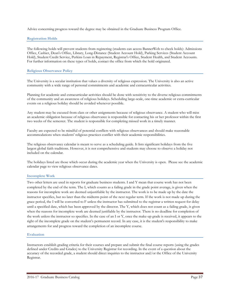Advice concerning progress toward the degree may be obtained in the Graduate Business Program Office.

#### **Registration Holds**

The following holds will prevent students from registering (students can access BannerWeb to check holds): Admissions Office, Cashier, Dean's Office, Library, Long-Distance (Student Account Hold), Parking Services (Student Account Hold), Student Credit Service, Perkins Loan in Repayment, Registrar's Office, Student Health, and Student Accounts. For further information on these types of holds, contact the office from which the hold originated.

#### **Religious Observance Policy**

The University is a secular institution that values a diversity of religious expression. The University is also an active community with a wide range of personal commitments and academic and extracurricular activities.

Planning for academic and extracurricular activities should be done with sensitivity to the diverse religious commitments of the community and an awareness of religious holidays. Scheduling large-scale, one-time academic or extra-curricular events on a religious holiday should be avoided whenever possible.

Any student may be excused from class or other assignments because of religious observance. A student who will miss an academic obligation because of religious observance is responsible for contacting his or her professor within the first two weeks of the semester. The student is responsible for completing missed work in a timely manner.

Faculty are expected to be mindful of potential conflicts with religious observances and should make reasonable accommodations when students' religious practices conflict with their academic responsibilities.

The religious observance calendar is meant to serve as a scheduling guide. It lists significant holidays from the five largest global faith traditions. However, it is not comprehensive and students may choose to observe a holiday not included on the calendar.

The holidays listed are those which occur during the academic year when the University is open. Please see the academic calendar page to view religious observance dates.

#### **Incomplete Work**

Two other letters are used in reports for graduate business students. I and Y mean that course work has not been completed by the end of the term. The I, which counts as a failing grade in the grade point average, is given when the reasons for incomplete work are deemed unjustifiable by the instructor. The work is to be made up by the date the instructor specifies, but no later than the midterm point of the next regular term. If the work is not made up during the grace period, the I will be converted to F unless the instructor has submitted to the registrar a written request for delay until a specified date, which has been approved by the director. The Y, which does not count as a failing grade, is given when the reasons for incomplete work are deemed justifiable by the instructor. There is no deadline for completion of the work unless the instructor so specifies. In the case of an I or Y, once the make-up grade is received, it appears to the right of the incomplete grade on the student's permanent record. In any case, it is the student's responsibility to make arrangements for and progress toward the completion of an incomplete course.

#### **Evaluation**

Instructors establish grading criteria for their courses and prepare and submit the final course reports (using the grades defined under Credits and Grades) to the University Registrar for recording. In the event of a question about the accuracy of the recorded grade, a student should direct inquiries to the instructor and/or the Office of the University Registrar.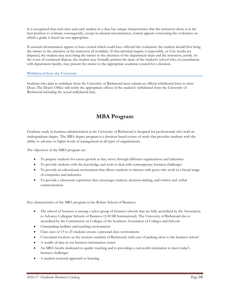It is recognized that each class and each student in a class has unique characteristics that the instructor alone is in the best position to evaluate; consequently, except in unusual circumstances, formal appeals concerning the evaluation on which a grade is based are not appropriate.

If unusual circumstances appear to have existed which could have affected the evaluation, the student should first bring the matter to the attention of the instructor (if available). If that informal inquiry is impossible, or if its results are disputed, the student may next bring the matter to the attention of the department chair and the instructor, jointly. In the event of continued dispute, the student may formally petition the dean of the student's school who, in consultation with department faculty, may present the matter to the appropriate academic council for a decision.

# **Withdrawal from the University**

Students who plan to withdraw from the University of Richmond must submit an official withdrawal letter to their Dean. The Dean's Office will notify the appropriate offices of the student's withdrawal from the University of Richmond including the actual withdrawal date.

# **MBA Program**

Graduate study in business administration at the University of Richmond is designed for professionals who hold an undergraduate degree. The MBA degree program is a decision-based course of study that provides students with the ability to advance to higher levels of management in all types of organizations.

The objectives of the MBA program are:

- To prepare students for career growth as they move through different organizations and industries
- To provide students with the knowledge and tools to deal with contemporary business challenges
- To provide an educational environment that allows students to interact with peers who work in a broad range of companies and industries
- To provide a classroom experience that encourages analysis, decision-making, and written and verbal communication

Key characteristics of the MBA program in the Robins School of Business:

- The school of business is among a select group of business schools that are fully accredited by the Association to Advance Collegiate Schools of Business (AACSB International). The University of Richmond also is accredited by the Commission on Colleges of the Southern Association of Colleges and Schools
- Outstanding facilities and teaching environment
- Class sizes of 15 to 25 students ensure a personal class environment
- Convenient location on the western outskirts of Richmond, with ease of parking close to the business school
- A wealth of data in our business information center
- An MBA faculty dedicated to quality teaching and to providing a real-world orientation to meet today's business challenges
- A student-centered approach to learning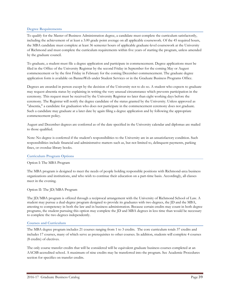# **Degree Requirements**

To qualify for the Master of Business Administration degree, a candidate must complete the curriculum satisfactorily, including the achievement of at least a 3.00 grade point average on all applicable coursework. Of the 45 required hours, the MBA candidate must complete at least 36 semester hours of applicable graduate-level coursework at the University of Richmond and must complete the curriculum requirements within five years of starting the program, unless amended by the graduate council.

To graduate, a student must file a degree application and participate in commencement. Degree applications must be filed in the Office of the University Registrar by the second Friday in September for the coming May or August commencement or by the first Friday in February for the coming December commencement. The graduate degree application form is available on BannerWeb under Student Services or in the Graduate Business Programs Office.

Degrees are awarded in person except by the decision of the University not to do so. A student who expects to graduate may request absentia status by explaining in writing the very unusual circumstance which prevents participation in the ceremony. This request must be received by the University Registrar no later than eight working days before the ceremony. The Registrar will notify the degree candidate of the status granted by the University. Unless approved as "absentia," a candidate for graduation who does not participate in the commencement ceremony does not graduate. Such a candidate may graduate at a later date by again filing a degree application and by following the appropriate commencement policy.

August and December degrees are conferred as of the date specified in the University calendar and diplomas are mailed to those qualified.

Note: No degree is conferred if the student's responsibilities to the University are in an unsatisfactory condition. Such responsibilities include financial and administrative matters such as, but not limited to, delinquent payments, parking fines, or overdue library books.

#### **Curriculum Program Options**

#### Option I: The MBA Program

The MBA program is designed to meet the needs of people holding responsible positions with Richmond-area business organizations and institutions, and who wish to continue their education on a part-time basis. Accordingly, all classes meet in the evening.

Option II: The JD/MBA Program

The JD/MBA program is offered through a reciprocal arrangement with the University of Richmond School of Law. A student may pursue a dual-degree program designed to provide its graduates with two degrees, the JD and the MBA, attesting to competency in both the law and in business administration. Because certain credits may count in both degree programs, the student pursuing this option may complete the JD and MBA degrees in less time than would be necessary to complete the two degrees independently.

#### **Courses and Curriculum**

The MBA degree program includes 21 courses ranging from 1 to 3 credits. The core curriculum totals 37 credits and includes 17 courses, many of which serve as prerequisites to other courses. In addition, students will complete 4 courses (8 credits) of electives.

The only course transfer credits that will be considered will be equivalent graduate business courses completed at an AACSB-accredited school. A maximum of nine credits may be transferred into the program. See Academic Procedures section for specifics on transfer credits.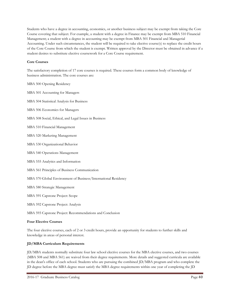Students who have a degree in accounting, economics, or another business subject may be exempt from taking the Core Course covering that subject. For example, a student with a degree in Finance may be exempt from MBA 510 Financial Management; a student with a degree in accounting may be exempt from MBA 501 Financial and Managerial Accounting. Under such circumstances, the student will be required to take elective course(s) to replace the credit hours of the Core Course from which the student is exempt. Written approval by the Director must be obtained in advance if a student desires to substitute elective coursework for a Core Course requirement.

# **Core Courses**

The satisfactory completion of 17 core courses is required. These courses form a common body of knowledge of business administration. The core courses are:

- MBA 500 Opening Residency
- MBA 501 Accounting for Managers
- MBA 504 Statistical Analysis for Business
- MBA 506 Economics for Managers
- MBA 508 Social, Ethical, and Legal Issues in Business
- MBA 510 Financial Management
- MBA 520 Marketing Management
- MBA 530 Organizational Behavior
- MBA 540 Operations Management
- MBA 555 Analytics and Information
- MBA 561 Principles of Business Communication
- MBA 570 Global Environment of Business/International Residency
- MBA 580 Strategic Management
- MBA 591 Capstone Project: Scope
- MBA 592 Capstone Project: Analysis
- MBA 593 Capstone Project: Recommendations and Conclusion

# **Four Elective Courses**

The four elective courses, each of 2 or 3 credit hours, provide an opportunity for students to further skills and knowledge in areas of personal interest.

# **JD/MBA Curriculum Requirements**

JD/MBA students normally substitute four law school elective courses for the MBA elective courses, and two courses (MBA 508 and MBA 561) are waived from their degree requirements. More details and suggested curricula are available in the dean's office of each school. Students who are pursuing the combined JD/MBA program and who complete the JD degree before the MBA degree must satisfy the MBA degree requirements within one year of completing the JD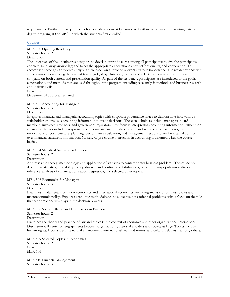requirements. Further, the requirements for both degrees must be completed within five years of the starting date of the degree program, JD or MBA, in which the students first enrolled.

#### **Courses**

MBA 500 Opening Residency Semester hours: 2 Description

The objectives of the opening residency are to develop esprit de corps among all participants; to give the participants concrete, take-away knowledge; and to set the appropriate expectations about effort, quality, and cooperation. To accomplish these goals students analyze a "live case" on a topic of relevant strategic importance. The residency ends with a case competition among the student teams, judged by University faculty and selected executives from the case company on both content and presentation quality. As part of the residency, participants are introduced to the goals, expectations, and methods that are used throughout the program, including case analysis methods and business research and analysis skills **Prerequisites** 

Departmental approval required.

MBA 501 Accounting for Managers

Semester hours: 3

Description

Integrates financial and managerial accounting topics with corporate governance issues to demonstrate how various stakeholder groups use accounting information to make decisions. These stakeholders include managers, board members, investors, creditors, and government regulators. Our focus is interpreting accounting information, rather than creating it. Topics include interpreting the income statement, balance sheet, and statement of cash flows, the implications of cost structure, planning, performance evaluation, and management responsibility for internal control over financial statement information. Mastery of pre-course instruction in accounting is assumed when the course begins.

MBA 504 Statistical Analysis for Business

Semester hours: 2

Description

Addresses the theory, methodology, and application of statistics to contemporary business problems. Topics include descriptive statistics, probability theory, discrete and continuous distributions, one- and two-population statistical inference, analysis of variance, correlation, regression, and selected other topics.

MBA 506 Economics for Managers

Semester hours: 3

Description

Examines fundamentals of macroeconomics and international economics, including analysis of business cycles and macroeconomic policy. Explores economic methodologies to solve business-oriented problems, with a focus on the role that economic analysis plays in the decision process.

MBA 508 Social, Ethical, and Legal Issues in Business Semester hours: 2 **Description** Examines the theory and practice of law and ethics in the context of economic and other organizational interactions. Discussion will center on engagements between organizations, their stakeholders and society at large. Topics include human rights, labor issues, the natural environment, international laws and norms, and cultural relativism among others.

MBA 509 Selected Topics in Economics Semester hours: 2 **Prerequisites** MBA 506

MBA 510 Financial Management Semester hours: 3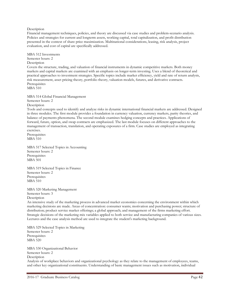#### Description

Financial management techniques, policies, and theory are discussed via case studies and problem-scenario analysis. Policies and strategies for current and longterm assets, working capital, total capitalization, and profit distribution presented in the context of share price maximization. Multinational considerations, leasing, risk analysis, project evaluation, and cost of capital are specifically addressed.

MBA 512 Investments Semester hours: 2 **Description** Covers the structure, trading, and valuation of financial instruments in dynamic competitive markets. Both money markets and capital markets are examined with an emphasis on longer-term investing. Uses a blend of theoretical and practical approaches to investment strategies. Specific topics include market efficiency, yield and rate of return analysis, risk measurement, asset pricing theory, portfolio theory, valuation models, futures, and derivative contracts. **Prerequisites** MBA 510

MBA 514 Global Financial Management

Semester hours: 2

Description

Tools and concepts used to identify and analyze risks in dynamic international financial markets are addressed. Designed in three modules. The first module provides a foundation in currency valuation, currency markets, parity theories, and balance of payments phenomena. The second module examines hedging concepts and practices. Applications of forward, future, option, and swap contracts are emphasized. The last module focuses on different approaches to the management of transaction, translation, and operating exposures of a firm. Case studies are employed as integrating exercises.

Prerequisites MBA 510

MBA 517 Selected Topics in Accounting Semester hours: 2 **Prerequisites** MBA 501

MBA 519 Selected Topics in Finance Semester hours: 2 Prerequisites MBA 510

MBA 520 Marketing Management Semester hours: 3 Description

An intensive study of the marketing process in advanced market economies concerning the environment within which marketing decisions are made. Areas of concentration: consumer wants; motivation and purchasing power; structure of distribution; product service market offerings; a global approach; and management of the firms marketing effort. Strategic decisions of the marketing mix variables applied to both service and manufacturing companies of various sizes. Lectures and the case analysis method are used to integrate the student's marketing background.

MBA 529 Selected Topics in Marketing Semester hours: 2 Prerequisites MBA 520

MBA 530 Organizational Behavior Semester hours: 2 **Description** Analysis of workplace behaviors and organizational psychology as they relate to the management of employees, teams, and other key organizational constituents. Understanding of basic management issues such as motivation, individual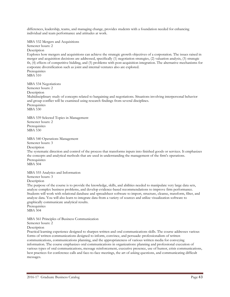differences, leadership, teams, and managing change, provides students with a foundation needed for enhancing individual and team performance and attitudes at work.

MBA 532 Mergers and Acquisitions Semester hours: 2

Description

Explores how mergers and acquisitions can achieve the strategic growth objectives of a corporation. The issues raised in merger and acquisition decisions are addressed, specifically (1) negotiation strategies, (2) valuation analysis, (3) strategic fit, (4) effects of competitive bidding, and (5) problems with post-acquisition integration. The alternative mechanisms for corporate diversification such as joint and internal ventures also are explored. **Prerequisites** MBA 510

MBA 534 Negotiations Semester hours: 2 **Description** Multidisciplinary study of concepts related to bargaining and negotiations. Situations involving interpersonal behavior and group conflict will be examined using research findings from several disciplines. Prerequisites MBA 530

MBA 539 Selected Topics in Management Semester hours: 2 Prerequisites MBA 530

MBA 540 Operations Management Semester hours: 3

**Description** 

The systematic direction and control of the process that transforms inputs into finished goods or services. It emphasizes the concepts and analytical methods that are used in understanding the management of the firm's operations. **Prerequisites** MBA 504

MBA 555 Analytics and Information Semester hours: 3 Description

The purpose of the course is to provide the knowledge, skills, and abilities needed to manipulate very large data sets, analyze complex business problems, and develop evidence-based recommendations to improve firm performance. Students will work with relational database and spreadsheet software to import, structure, cleanse, transform, filter, and analyze data. You will also learn to integrate data from a variety of sources and utilize visualization software to graphically communicate analytical results.

Prerequisites MBA 504

MBA 561 Principles of Business Communication Semester hours: 2 Description

Practical learning experience designed to sharpen written and oral communications skills. The course addresses various forms of written communications designed to inform, convince, and persuade: professionalism of written communications, communications planning, and the appropriateness of various written media for conveying information. The course emphasizes oral communications in organizations: planning and professional execution of various types of oral communications, message reinforcement, executive presence, use of humor, crisis communications, best practices for conference calls and face-to-face meetings, the art of asking questions, and communicating difficult messages.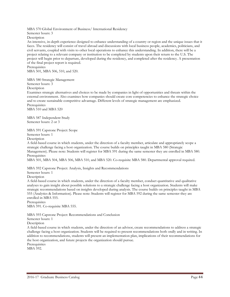MBA 570 Global Environment of Business/ International Residency

Semester hours: 3

Description

An intensive, in-depth experience designed to enhance understanding of a country or region and the unique issues that it faces. The residency will consist of travel abroad and discussions with local business people, academics, politicians, and civil servants, coupled with visits to other local operations to enhance this understanding. In addition, there will be a project relating to a relevant company or institution to be completed by students upon their return to the U.S. The project will begin prior to departure, developed during the residency, and completed after the residency. A presentation of the final project report is required.

**Prerequisites** MBA 501, MBA 506, 510, and 520.

MBA 580 Strategic Management

Semester hours: 3

**Description** 

Examines strategic alternatives and choices to be made by companies in light of opportunities and threats within the external environment. Also examines how companies should create core competencies to enhance the strategic choice and to create sustainable competitive advantage. Different levels of strategic management are emphasized. Prerequisites

MBA 510 and MBA 520

MBA 587 Independent Study Semester hours: 2 or 3

MBA 591 Capstone Project: Scope Semester hours: 1

Description

A field-based course in which students, under the direction of a faculty member, articulate and appropriately scope a strategic challenge facing a host organization. The course builds on principles taught in MBA 580 (Strategic Management). Please note: Students will register for MBA 591 during the same semester they are enrolled in MBA 580. **Prerequisites** 

MBA 501, MBA 504, MBA 506, MBA 510, and MBA 520. Co-requisite MBA 580. Departmental approval required.

MBA 592 Capstone Project: Analysis, Insights and Recommendations

Semester hours: 1

**Description** 

A field-based course in which students, under the direction of a faculty member, conduct quantitative and qualitative analyses to gain insight about possible solutions to a strategic challenge facing a host organization. Students will make strategic recommendations based on insights developed during analysis. The course builds on principles taught in MBA 555 (Analytics & Information). Please note: Students will register for MBA 592 during the same semester they are enrolled in MBA 555.

Prerequisites

MBA 591. Co-requisite MBA 555.

MBA 593 Capstone Project: Recommendations and Conclusion

Semester hours: 1

Description

A field-based course in which students, under the direction of an advisor, create recommendations to address a strategic challenge facing a host organization. Students will be required to present recommendations both orally and in writing. In addition to recommendations, students will present an implementation plan, implications of their recommendations for the host organization, and future projects the organization should pursue.

**Prerequisites** MBA 592.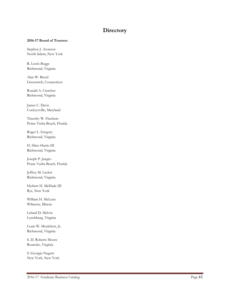# **Directory**

# **2016-17 Board of Trustees**

Stephen J. Aronson North Salem, New York

R. Lewis Boggs Richmond, Virginia

Alan W. Breed Greenwich, Connecticut

Ronald A. Crutcher Richmond, Virginia

James C. Davis Cockeysville, Maryland

Timothy W. Finchem Ponte Vedra Beach, Florida

Roger L. Gregory Richmond, Virginia

H. Hiter Harris III Richmond, Virginia

Joseph P. Jangro Ponte Vedra Beach, Florida

Jeffrey M. Lacker Richmond, Virginia

Herbert H. McDade III Rye, New York

William H. McLean Wilmette, Illinois

Leland D. Melvin Lynchburg, Virginia

Louis W. Moelchert, Jr. Richmond, Virginia

S. D. Roberts Moore Roanoke, Virginia

S. Georgia Nugent New York, New York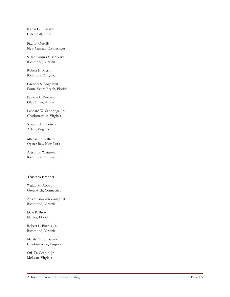Karen G. O'Maley Cincinnati, Ohio

Paul B. Queally New Canaan, Connecticut

Susan Gunn Quisenberry Richmond, Virginia

Robert E. Rigsby Richmond, Virginia

Gregory S. Rogowski Ponte Vedra Beach, Florida

Patricia L. Rowland Glen Ellyn, Illinois

Leonard W. Sandridge, Jr. Charlottesville, Virginia

Suzanne F. Thomas Aylett, Virginia

Michael P. Walrath Oyster Bay, New York

Allison P. Weinstein Richmond, Virginia

# **Trustees Emeriti**

Waldo M. Abbot Greenwich, Connecticut

Austin Brockenbrough III Richmond, Virginia

Dale P. Brown Naples, Florida

Robert L. Burrus, Jr. Richmond, Virginia

Martha A. Carpenter Charlottesville, Virginia

Otis D. Coston, Jr. McLean, Virginia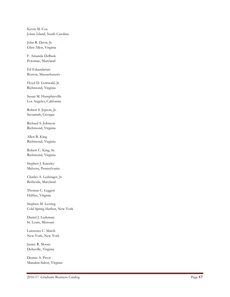Kevin M. Cox Johns Island, South Carolina

John R. Davis, Jr. Glen Allen, Virginia

F. Amanda DeBusk Potomac, Maryland

Ed Eskandarian Boston, Massachusetts

Floyd D. Gottwald, Jr. Richmond, Virginia

Susan M. Humphreville Los Angeles, California

Robert S. Jepson, Jr. Savannah, Georgia

Richard S. Johnson Richmond, Virginia

Allen B. King Richmond, Virginia

Robert C. King, Sr. Richmond, Virginia

Stephen J. Kneeley Malvern, Pennsylvania

Charles A. Ledsinger, Jr. Bethesda, Maryland

Thomas C. Leggett Halifax, Virginia

Stephen M. Lessing Cold Spring Harbor, New York

Daniel J. Ludeman St. Louis, Missouri

Lawrence C. Marsh New York, New York

Janice R. Moor e Deltaville, Virginia

Dennis A. Pryor Manakin -Sabot, Virginia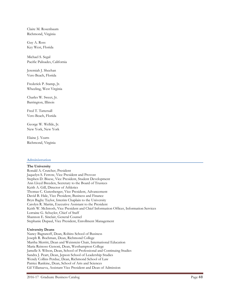Claire M. Rosenbaum Richmond, Virginia

Guy A. Ross Key West, Florida

Michael S. Segal Pacific Palisades, California

Jeremiah J. Sheehan Vero Beach, Florida

Frederick P. Stamp, Jr. Wheeling, West Virginia

Charles W. Sweet, Jr. Barrington, Illinois

Fred T. Tattersall Vero Beach, Florida

George W. Wellde, Jr. New York, New York

Elaine J. Yeatts Richmond, Virginia

#### **Administration**

#### **The University**

Ronald A. Crutcher, President Jaquelyn S. Fetrow, Vice President and Provost Stephen D. Bisese, Vice President, Student Development Ann Lloyd Breeden, Secretary to the Board of Trustees Keith A. Gill, Director of Athletics Thomas C. Gutenberger, Vice President, Advancement David B. Hale, Vice President, Business and Finance Bryn Bagby Taylor, Interim Chaplain to the University Carolyn R. Martin, Executive Assistant to the President Keith W. McIntosh, Vice President and Chief Information Officer, Information Services Lorraine G. Schuyler, Chief of Staff Shannon E. Sinclair, General Counsel Stephanie Dupaul, Vice President, Enrollment Management

#### **University Deans**

Nancy Bagranoff, Dean, Robins School of Business Joseph R. Boehman, Dean, Richmond College Martha Merritt, Dean and Weinstein Chair, International Education Maria Reinoso Genoni, Dean, Westhampton College Jamelle S. Wilson, Dean, School of Professional and Continuing Studies Sandra J. Peart, Dean, Jepson School of Leadership Studies Wendy Collins Perdue, Dean, Richmond School of Law Patrice Rankine, Dean, School of Arts and Sciences Gil Villanueva, Assistant Vice President and Dean of Admission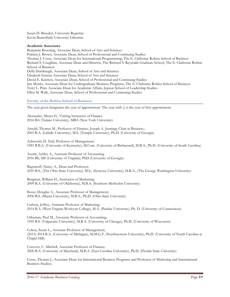Susan D. Breeden, University Registrar Kevin Butterfield, University Librarian

#### **Academic Associates**

Benjamin Broening, Associate Dean, School of Arts and Sciences Patricia J. Brown, Associate Dean, School of Professional and Continuing Studies Thomas J. Cosse, Associate Dean for International Programming, The E. Claiborne Robins School of Business Richard S. Coughlan, Associate Dean and Director, The Richard S. Reynolds Graduate School, The E. Claiborne Robins School of Business Della Dumbaugh, Associate Dean, School of Arts and Sciences Elisabeth Gruner Associate Dean, School of Arts and Sciences David E. Kitchen, Associate Dean, School of Professional and Continuing Studies Jim Monks, Associate Dean for Undergraduate Business Programs, The E. Claiborne Robins School of Business Terry L. Price Associate Dean for Academic Affairs, Jepson School of Leadership Studies Ellen M. Walk, Associate Dean, School of Professional and Continuing Studies

#### **Faculty of the Robins School of Business**

The year given designates the year of appointment. The year with () is the year of first appointment.

Alexander, Maura H., Visiting Instructor of Finance 2016 BA (Tulane University), MBA (New York University)

Arnold, Thomas M., Professor of Finance, Joseph A. Jennings Chair in Business ; 2003 B.A. (LaSalle University), M.S. (Temple University), Ph.D. (University of Georgia)

Ashworth, D. Neil, Professor of Management; 1981 B.B.A. (University of Kentucky), M.Com. (University of Richmond), M.B.A., Ph.D. (University of South Carolina)

Austin, Ashley A., Assistant Professor of Accounting 2016 BS, MS (University of Virginia), PhD (University of Georgia)

Bagranoff, Nancy A., Dean and Professor; 2010 B.S., (The Ohio State University), M.S., (Syracuse University), D.B.A., (The George Washington University)

Bergman, William H., Instructor of Marketing; 2009 B.A. (University of Oklahoma), M.B.A. (Southern Methodist University)

Bosse, Douglas A., Associate Professor of Management; 2006 B.S. (Miami University), M.B.A., Ph.D. (Ohio State University)

Carlson, Jeffrey, Assistant Professor of Marketing; 2014 B.A. (West Virginia Wesleyan College), M.A. (Purdue University), Ph. D. (University of Connecticut)

Clikeman, Paul M., Associate Professor of Accounting; 1995 B.S. (Valparaiso University), M.B.A. (University of Chicago), Ph.D. (University of Wisconsin)

Cohen, Susan L., Assistant Professor of Management; (2013) 2014 B.A. (University of Michigan), M.M.G.T. (Northwestern University), Ph.D. (University of North Carolina at Chapel Hill)

Conover, C. Mitchell, Associate Professor of Finance; 2000 B.A. (University of Maryland), M.B.A. (East Carolina University), Ph.D. (Florida State University)

Cosse, Thomas J., Associate Dean for International Business Programs and Professor of Marketing and International Business Studies;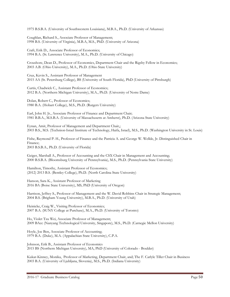1975 B.S.B.A. (University of Southwestern Louisiana), M.B.A., Ph.D. (University of Arkansas)

Coughlan, Richard S., Associate Professor of Management; 1998 B.S. (University of Virginia), M.B.A, M.S., PhD. (University of Arizona)

Craft, Erik D., Associate Professor of Economics; 1994 B.A. (St. Lawrence University), M.A., Ph.D. (University of Chicago)

Croushore, Dean D., Professor of Economics, Department Chair and the Rigsby Fellow in Economics; 2003 A.B. (Ohio University), M.A., Ph.D. (Ohio State University)

Cruz, Kevin S., Assistant Professor of Management 2015 AA (St. Petersburg College), BS (University of South Florida), PhD (University of Pittsburgh)

Curtis, Chadwick C., Assistant Professor of Economics; 2012 B.A. (Northern Michigan University), M.A., Ph.D. (University of Notre Dame)

Dolan, Robert C., Professor of Economics; 1980 B.A. (Hobart College), M.S., Ph.D. (Rutgers University)

Earl, John H. Jr., Associate Professor of Finance and Department Chair; 1981 B.B.A., M.S.B.A. (University of Massachusetts at Amherst), Ph.D. (Arizona State University)

Eynan, Amit, Professor of Management and Department Chair,; 2003 B.S., M.S. (Technion-Israel Institute of Technology, Haifa, Israel), M.S., Ph.D. (Washington University in St. Louis)

Fishe, Raymond P. H., Professor of Finance and the Patricia A. and George W. Wellde, Jr. Distinguished Chair in Finance; 2003 B.S.B.A., Ph.D. (University of Florida)

Geiger, Marshall A., Professor of Accounting and the CSX Chair in Management and Accounting; 2000 B.S.B.A. (Bloomsburg University of Pennsylvania), M.S., Ph.D. (Pennsylvania State University)

Hamilton, Timothy, Assistant Professor of Economics; (2012) 2013 B.S. (Bentley College), Ph.D. (North Carolina State University)

Hanson, Sara K., Assistant Professor of Marketing 2016 BA (Boise State University), MS, PhD (University of Oregon)

Harrison, Jeffrey S., Professor of Management and the W. David Robbins Chair in Strategic Management; 2004 B.S. (Brigham Young University), M.B.A., Ph.D. (University of Utah)

Heinicke, Craig W., Visiting Professor of Economics; 2007 B.A. (SUNY College at Purchase), M.A., Ph.D. (University of Toronto)

Ho, Violet Tzu Wei, Associate Professor of Management; 2009 BAcc (Nanyang Technological University, Singapore), M.S., Ph.D. (Carnegie Mellon University)

Hoyle, Joe Ben, Associate Professor of Accounting; 1979 B.A. (Duke), M.A. (Appalachian State University), C.P.A.

Johnson, Erik B., Assistant Professor of Economics 2015 BS (Northern Michigan University), MA, PhD (University of Colorado - Boulder)

Kukar-Kinney, Monika, Professor of Marketing, Department Chair, and; The F. Carlyle Tiller Chair in Business 2003 B.A. (University of Ljubljana, Slovenia), M.S., Ph.D. (Indiana University)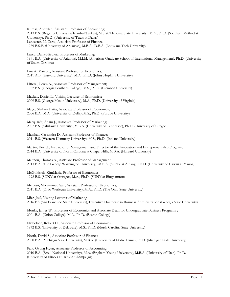Kumas, Abdullah, Assistant Professor of Accounting; 2013 B.S. (Bogazici University/Istanbul Turkey), M.S. (Oklahoma State University), M.A., Ph.D. (Southern Methodist University), Ph.D. (University of Texas at Dallas) Lancaster, M. Carol, Associate Professor of Finance; 1989 B.S.E. (University of Arkansas), M.B.A., D.B.A. (Louisiana Tech University)

Lascu, Dana-Nicoleta, Professor of Marketing; 1991 B.A. (University of Arizona), M.I.M. (American Graduate School of International Management), Ph.D. (University of South Carolina)

Linask, Maia K., Assistant Professor of Economics; 2011 A.B. (Harvard University), M.A., Ph.D. (Johns Hopkins University)

Litteral, Lewis A., Associate Professor of Management; 1982 B.S. (Georgia Southern College), M.S., Ph.D. (Clemson University)

Mackay, Daniel L., Visiting Lecturer of Economics; 2009 B.S. (George Mason University), M.A., Ph.D. (University of Virginia)

Mago, Shakun Datta, Associate Professor of Economics; 2006 B.A., M.A. (University of Delhi), M.S., Ph.D. (Purdue University)

Marquardt, Adam J., Associate Professor of Marketing; 2007 B.S. (Salisbury University), M.B.A. (University of Tennessee), Ph.D. (University of Oregon)

Marshall, Cassandra D., Assistant Professor of Finance; 2011 B.S. (Western Kentucky University), M.S., Ph.D. (Indiana University)

Martin, Eric K., Instructor of Management and Director of the Innovation and Entrepreneurship Program; 2014 B.A. (University of North Carolina at Chapel Hill), M.B.A. (Harvard University)

Mattson, Thomas A., Assistant Professor of Management; 2013 B.A. (The George Washington University), M.B.A. (SUNY at Albany), Ph.D. (University of Hawaii at Manoa)

McGoldrick, KimMarie, Professor of Economics; 1992 B.S. (SUNY at Oswego), M.A., Ph.D. (SUNY at Binghamton)

Mehkari, Mohammad Saif, Assistant Professor of Economics; 2011 B.A. (Ohio Wesleyan University), M.A., Ph.D. (The Ohio State University)

Mier, Joel, Visiting Lecturer of Marketing 2016 BA (San Francisco State University), Executive Doctorate in Business Administration (Georgia State University)

Monks, James W., Professor of Economics and Associate Dean for Undergraduate Business Programs ; 2001 B.A. (Union College), M.A., Ph.D. (Boston College)

Nicholson, Robert H., Associate Professor of Economics; 1972 B.S. (University of Delaware), M.S., Ph.D. (North Carolina State University)

North, David S., Associate Professor of Finance; 2000 B.A. (Michigan State University), M.B.A. (University of Notre Dame), Ph.D. (Michigan State University)

Paik, Gyung Hyun, Associate Professor of Accounting; 2010 B.A. (Seoul National University), M.A. (Brigham Young University), M.B.A. (University of Utah), Ph.D. (University of Illinois at Urbana-Champaign)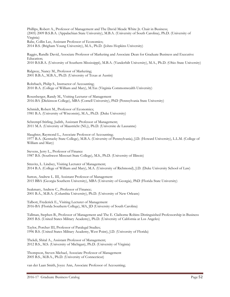Phillips, Robert A., Professor of Management and The David Meade White Jr. Chair in Business; (2005) 2009 B.S.B.A. (Appalachian State University), M.B.A. (University of South Carolina), Ph.D. (University of Virginia) Rabe, Collin Lee, Assistant Professor of Economics;

2014 B.S. (Brigham Young University), M.A., Ph.D. (Johns Hopkins University)

Raggio, Randle David, Associate Professor of Marketing and Associate Dean for Graduate Business and Executive Education; 2010 B.S.B.A. (University of Southern Mississippi), M.B.A. (Vanderbilt University), M.A., Ph.D. (Ohio State University)

Ridgway, Nancy M., Professor of Marketing; 2001 B.B.A., M.B.A., Ph.D. (University of Texas at Austin)

Rohrbach, Philip S., Instructor of Accounting; 2010 B.A. (College of William and Mary), M.Tax (Virginia Commonwealth University)

Rosenberger, Randy M., Visiting Lecturer of Management 2016-BA (Dickinson College), MBA (Cornell University), PhD (Pennsylvania State University)

Schmidt, Robert M., Professor of Economics; 1981 B.A. (University of Wisconsin), M.A., Ph.D. (Duke University)

Schrempf-Stirling, Judith, Assistant Professor of Management; 2011 M.A. (University of Maastricht (NL)), Ph.D. (Universite de Lausanne)

Slaughter, Raymond L., Associate Professor of Accounting; 1977 B.A. (Kentucky State College), M.B.A. (University of Pennsylvania), J.D. (Howard University), L.L.M. (College of William and Mary)

Stevens, Jerry L., Professor of Finance 1987 B.S. (Southwest Missouri State College), M.S., Ph.D. (University of Illinois)

Stravitz, L. Lindsey, Visiting Lecturer of Management; 2014 B.A. (College of William and Mary), M.A. (University of Richmond), J.D. (Duke University School of Law)

Sutton, Andrew L. III, Assistant Professor of Management 2015 BBA (Georgia Southern University), MBA (University of Georgia), PhD (Florida State University)

Szakmary, Andrew C., Professor of Finance; 2001 B.A., M.B.A. (Columbia University), Ph.D. (University of New Orleans)

Talbott, Frederick E., Visiting Lecturer of Management 2016-BA (Florida Southern College), MA, JD (University of South Carolina)

Tallman, Stephen B., Professor of Management and The E. Claiborne Robins Distinguished Professorship in Business 2005 B.S. (United States Military Academy), Ph.D. (University of California at Los Angeles)

Taylor, Porcher III, Professor of Paralegal Studies; 1996 B.S. (United States Military Academy, West Point), J.D. (University of Florida)

Thekdi, Shital A., Assistant Professor of Management; 2012 B.S., M.S. (University of Michigan), Ph.D. (University of Virginia)

Thompson, Steven Michael, Associate Professor of Management 2005 B.S., M.B.A., Ph.D. (University of Connecticut)

van der Laan Smith, Joyce Ann, Associate Professor of Accounting;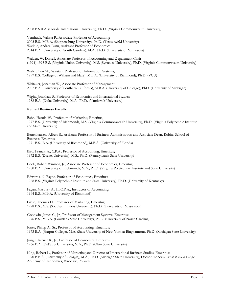2008 B.S.B.A. (Florida International University), Ph.D. (Virginia Commonwealth University)

Vendrzyk, Valaria P., Associate Professor of Accounting; 2003 B.S., M.B.A. (Shippensburg University), Ph.D. (Texas A&M University) Waddle, Andrea Lynn, Assistant Professor of Economics 2014 B.A. (University of South Carolina), M.A., Ph.D. (University of Minnesota)

Walden, W. Darrell, Associate Professor of Accounting and Department Chair (1994) 1995 B.S. (Virginia Union University), M.S. (Syracuse University), Ph.D. (Virginia Commonwealth University)

Walk, Ellen M., Assistant Professor of Information Systems; 1997 B.S. (College of William and Mary), M.B.A. (University of Richmond), Ph.D. (VCU)

Whitaker, Jonathan W., Associate Professor of Management; 2007 B.A. (University of Southern California), M.B.A. (University of Chicago), PhD (University of Michigan)

Wight, Jonathan B., Professor of Economics and International Studies; 1982 B.A. (Duke University), M.A., Ph.D. (Vanderbilt University)

#### **Retired Business Faculty**

Babb, Harold W., Professor of Marketing, Emeritus, 1977 B.S. (University of Richmond), M.S. (Virginia Commonwealth University), Ph.D. (Virginia Polytechnic Institute and State University)

Bettenhausen, Albert E., Assistant Professor of Business Administration and Associate Dean, Robins School of Business, Emeritus; 1971 B.S., B.A. (University of Richmond), M.B.A. (University of Florida)

Bird, Francis A., C.P.A., Professor of Accounting, Emeritus; 1972 B.S. (Drexel University), M.S., Ph.D. (Pennsylvania State University)

Cook, Robert Winston, Jr., Associate Professor of Economics, Emeritus; 1980 B.A. (University of Richmond), M.A., Ph.D. (Virginia Polytechnic Institute and State University)

Edwards, N. Fayne, Professor of Economics, Emeritus; 1968 B.S. (Virginia Polytechnic Institute and State University), Ph.D. (University of Kentucky)

Fagan, Marbury A., II, C.P.A., Instructor of Accounting; 1994 B.S., M.B.A. (University of Richmond)

Giese, Thomas D., Professor of Marketing, Emeritus; 1978 B.S., M.S. (Southern Illinois University), Ph.D. (University of Mississippi)

Goodwin, James C., Jr., Professor of Management Systems, Emeritus; 1976 B.S., M.B.A. (Louisiana State University), Ph.D. (University of North Carolina)

Jones, Phillip A., Sr., Professor of Accounting, Emeritus; 1973 B.A. (Harpur College), M.A. (State University of New York at Binghamton), Ph.D. (Michigan State University)

Jung, Clarence R., Jr., Professor of Economics, Emeritus; 1966 B.A. (DePauw University), M.A., Ph.D. (Ohio State University)

King, Robert L., Professor of Marketing and Director of International Business Studies, Emeritus; 1990 B.B.A. (University of Georgia), M.A., Ph.D. (Michigan State University), Doctor Honoris Causa (Oskar Lange Academy of Economics, Wroclaw, Poland)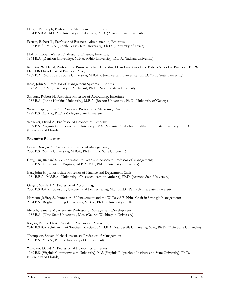New, J. Randolph, Professor of Management, Emeritus; 1994 B.S.B.A., M.B.A. (University of Arkansas), Ph.D. (Arizona State University)

Partain, Robert T., Professor of Business Administration, Emeritus; 1963 B.B.A., M.B.A. (North Texas State University), Ph.D. (University of Texas)

Phillips, Robert Wesley, Professor of Finance, Emeritus; 1974 B.A. (Denison University), M.B.A. (Ohio University), D.B.A. (Indiana University)

Robbins, W. David, Professor of Business Policy, Emeritus; Dean Emeritus of the Robins School of Business; The W. David Robbins Chair of Business Policy; 1959 B.A. (North Texas State University), M.B.A. (Northwestern University), Ph.D. (Ohio State University)

Rose, John S., Professor of Management Systems, Emeritus; 1977 A.B., A.M. (University of Michigan), Ph.D. (Northwestern University)

Sanborn, Robert H., Associate Professor of Accounting, Emeritus; 1988 B.A. (Johns Hopkins University), M.B.A. (Boston University), Ph.D. (University of Georgia)

Weisenberger, Terry M., Associate Professor of Marketing, Emeritus; 1977 B.S., M.B.A., Ph.D. (Michigan State University)

Whitaker, David A., Professor of Economics, Emeritus; 1969 B.S. (Virginia Commonwealth University), M.S. (Virginia Polytechnic Institute and State University), Ph.D. (University of Florida)

# **Executive Education**

Bosse, Douglas A., Associate Professor of Management; 2006 B.S. (Miami University), M.B.A., Ph.D. (Ohio State University)

Coughlan, Richard S., Senior Associate Dean and Associate Professor of Management; 1998 B.S. (University of Virginia), M.B.A, M.S., PhD. (University of Arizona)

Earl, John H. Jr., Associate Professor of Finance and Department Chair; 1981 B.B.A., M.S.B.A. (University of Massachusetts at Amherst), Ph.D. (Arizona State University)

Geiger, Marshall A., Professor of Accounting; 2000 B.S.B.A. (Bloomsburg University of Pennsylvania), M.S., Ph.D. (Pennsylvania State University)

Harrison, Jeffrey S., Professor of Management and the W. David Robbins Chair in Strategic Management; 2004 B.S. (Brigham Young University), M.B.A., Ph.D. (University of Utah)

Meluch, Jeanette M., Associate Professor of Management Development; 1988 B.A. (Ohio State University), M.A. (George Washington University)

Raggio, Randle David, Assistant Professor of Marketing; 2010 B.S.B.A. (University of Southern Mississippi), M.B.A. (Vanderbilt University), M.A., Ph.D. (Ohio State University)

Thompson, Steven Michael, Associate Professor of Management 2005 B.S., M.B.A., Ph.D. (University of Connecticut)

Whitaker, David A., Professor of Economics, Emeritus; 1969 B.S. (Virginia Commonwealth University), M.S. (Virginia Polytechnic Institute and State University), Ph.D. (University of Florida)